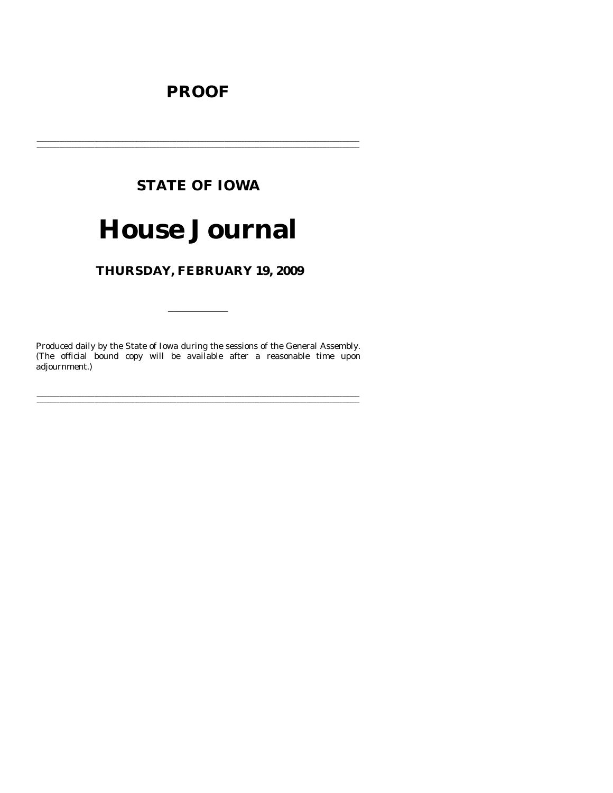# **PROOF**

# **STATE OF IOWA**

# **House Journal**

# THURSDAY, FEBRUARY 19, 2009

Produced daily by the State of Iowa during the sessions of the General Assembly. (The official bound copy will be available after a reasonable time upon adjournment.)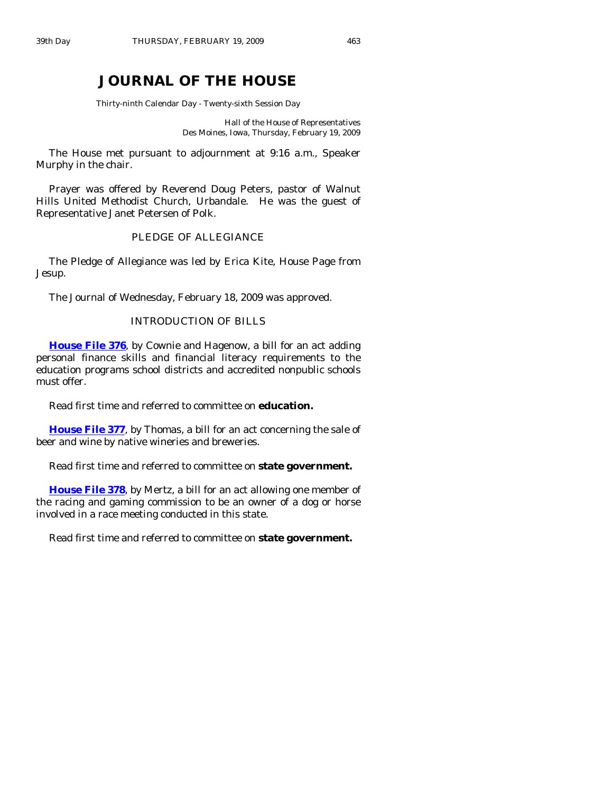# **JOURNAL OF THE HOUSE**

Thirty-ninth Calendar Day - Twenty-sixth Session Day

Hall of the House of Representatives Des Moines, Iowa, Thursday, February 19, 2009

 The House met pursuant to adjournment at 9:16 a.m., Speaker Murphy in the chair.

 Prayer was offered by Reverend Doug Peters, pastor of Walnut Hills United Methodist Church, Urbandale. He was the guest of Representative Janet Petersen of Polk.

### PLEDGE OF ALLEGIANCE

 The Pledge of Allegiance was led by Erica Kite, House Page from Jesup.

The Journal of Wednesday, February 18, 2009 was approved.

# INTRODUCTION OF BILLS

**[House File 376](http://coolice.legis.state.ia.us/Cool-ICE/default.asp?Category=billinfo&Service=Billbook&frame=1&GA=83&hbill=HF376)**, by Cownie and Hagenow, a bill for an act adding personal finance skills and financial literacy requirements to the education programs school districts and accredited nonpublic schools must offer.

Read first time and referred to committee on **education.** 

**[House File 377](http://coolice.legis.state.ia.us/Cool-ICE/default.asp?Category=billinfo&Service=Billbook&frame=1&GA=83&hbill=HF377)**, by Thomas, a bill for an act concerning the sale of beer and wine by native wineries and breweries.

Read first time and referred to committee on **state government.** 

**[House File 378](http://coolice.legis.state.ia.us/Cool-ICE/default.asp?Category=billinfo&Service=Billbook&frame=1&GA=83&hbill=HF378)**, by Mertz, a bill for an act allowing one member of the racing and gaming commission to be an owner of a dog or horse involved in a race meeting conducted in this state.

Read first time and referred to committee on **state government.**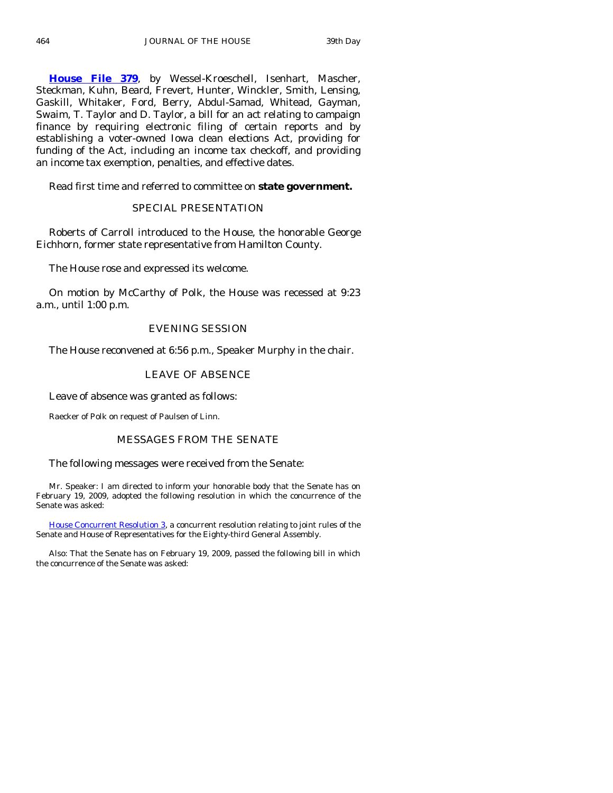**[House File 379](http://coolice.legis.state.ia.us/Cool-ICE/default.asp?Category=billinfo&Service=Billbook&frame=1&GA=83&hbill=HF379)**, by Wessel-Kroeschell, Isenhart, Mascher, Steckman, Kuhn, Beard, Frevert, Hunter, Winckler, Smith, Lensing, Gaskill, Whitaker, Ford, Berry, Abdul-Samad, Whitead, Gayman, Swaim, T. Taylor and D. Taylor, a bill for an act relating to campaign finance by requiring electronic filing of certain reports and by establishing a voter-owned Iowa clean elections Act, providing for funding of the Act, including an income tax checkoff, and providing an income tax exemption, penalties, and effective dates.

Read first time and referred to committee on **state government.** 

#### SPECIAL PRESENTATION

 Roberts of Carroll introduced to the House, the honorable George Eichhorn, former state representative from Hamilton County.

The House rose and expressed its welcome.

 On motion by McCarthy of Polk, the House was recessed at 9:23 a.m., until 1:00 p.m.

#### EVENING SESSION

The House reconvened at 6:56 p.m., Speaker Murphy in the chair.

# LEAVE OF ABSENCE

Leave of absence was granted as follows:

Raecker of Polk on request of Paulsen of Linn.

# MESSAGES FROM THE SENATE

The following messages were received from the Senate:

 Mr. Speaker: I am directed to inform your honorable body that the Senate has on February 19, 2009, adopted the following resolution in which the concurrence of the Senate was asked:

[House Concurrent Resolution 3](http://coolice.legis.state.ia.us/Cool-ICE/default.asp?Category=billinfo&Service=Billbook&frame=1&GA=83&hbill=HCR3), a concurrent resolution relating to joint rules of the Senate and House of Representatives for the Eighty-third General Assembly.

 Also: That the Senate has on February 19, 2009, passed the following bill in which the concurrence of the Senate was asked: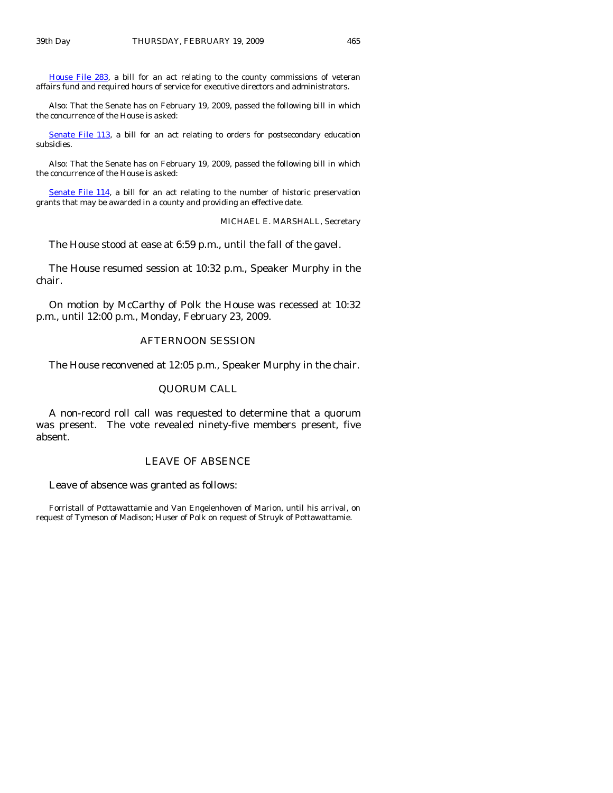[House File 283,](http://coolice.legis.state.ia.us/Cool-ICE/default.asp?Category=billinfo&Service=Billbook&frame=1&GA=83&hbill=HF283) a bill for an act relating to the county commissions of veteran affairs fund and required hours of service for executive directors and administrators.

 Also: That the Senate has on February 19, 2009, passed the following bill in which the concurrence of the House is asked:

[Senate File 113,](http://coolice.legis.state.ia.us/Cool-ICE/default.asp?Category=billinfo&Service=Billbook&frame=1&GA=83&hbill=SF113) a bill for an act relating to orders for postsecondary education subsidies.

 Also: That the Senate has on February 19, 2009, passed the following bill in which the concurrence of the House is asked:

[Senate File 114](http://coolice.legis.state.ia.us/Cool-ICE/default.asp?Category=billinfo&Service=Billbook&frame=1&GA=83&hbill=SF114), a bill for an act relating to the number of historic preservation grants that may be awarded in a county and providing an effective date.

MICHAEL E. MARSHALL, Secretary

The House stood at ease at 6:59 p.m., until the fall of the gavel.

 The House resumed session at 10:32 p.m., Speaker Murphy in the chair.

 On motion by McCarthy of Polk the House was recessed at 10:32 p.m., until 12:00 p.m., Monday, February 23, 2009.

#### AFTERNOON SESSION

The House reconvened at 12:05 p.m., Speaker Murphy in the chair.

#### QUORUM CALL

 A non-record roll call was requested to determine that a quorum was present. The vote revealed ninety-five members present, five absent.

### LEAVE OF ABSENCE

Leave of absence was granted as follows:

Forristall of Pottawattamie and Van Engelenhoven of Marion, until his arrival, on request of Tymeson of Madison; Huser of Polk on request of Struyk of Pottawattamie.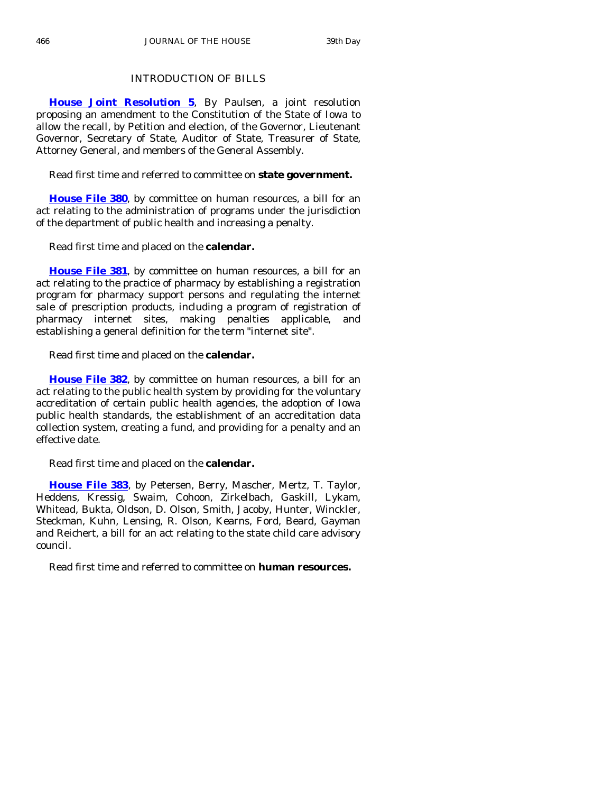# INTRODUCTION OF BILLS

**[House Joint Resolution 5](http://coolice.legis.state.ia.us/Cool-ICE/default.asp?Category=billinfo&Service=Billbook&frame=1&GA=83&hbill=HJR5)**, By Paulsen, a joint resolution proposing an amendment to the Constitution of the State of Iowa to allow the recall, by Petition and election, of the Governor, Lieutenant Governor, Secretary of State, Auditor of State, Treasurer of State, Attorney General, and members of the General Assembly.

Read first time and referred to committee on **state government.** 

**[House File 380](http://coolice.legis.state.ia.us/Cool-ICE/default.asp?Category=billinfo&Service=Billbook&frame=1&GA=83&hbill=HF380)**, by committee on human resources, a bill for an act relating to the administration of programs under the jurisdiction of the department of public health and increasing a penalty.

Read first time and placed on the **calendar.** 

**[House File 381](http://coolice.legis.state.ia.us/Cool-ICE/default.asp?Category=billinfo&Service=Billbook&frame=1&GA=83&hbill=HF381)**, by committee on human resources, a bill for an act relating to the practice of pharmacy by establishing a registration program for pharmacy support persons and regulating the internet sale of prescription products, including a program of registration of pharmacy internet sites, making penalties applicable, and establishing a general definition for the term "internet site".

Read first time and placed on the **calendar.** 

**[House File 382](http://coolice.legis.state.ia.us/Cool-ICE/default.asp?Category=billinfo&Service=Billbook&frame=1&GA=83&hbill=HF382)**, by committee on human resources, a bill for an act relating to the public health system by providing for the voluntary accreditation of certain public health agencies, the adoption of Iowa public health standards, the establishment of an accreditation data collection system, creating a fund, and providing for a penalty and an effective date.

Read first time and placed on the **calendar.** 

**[House File 383](http://coolice.legis.state.ia.us/Cool-ICE/default.asp?Category=billinfo&Service=Billbook&frame=1&GA=83&hbill=HF383)**, by Petersen, Berry, Mascher, Mertz, T. Taylor, Heddens, Kressig, Swaim, Cohoon, Zirkelbach, Gaskill, Lykam, Whitead, Bukta, Oldson, D. Olson, Smith, Jacoby, Hunter, Winckler, Steckman, Kuhn, Lensing, R. Olson, Kearns, Ford, Beard, Gayman and Reichert, a bill for an act relating to the state child care advisory council.

Read first time and referred to committee on **human resources.**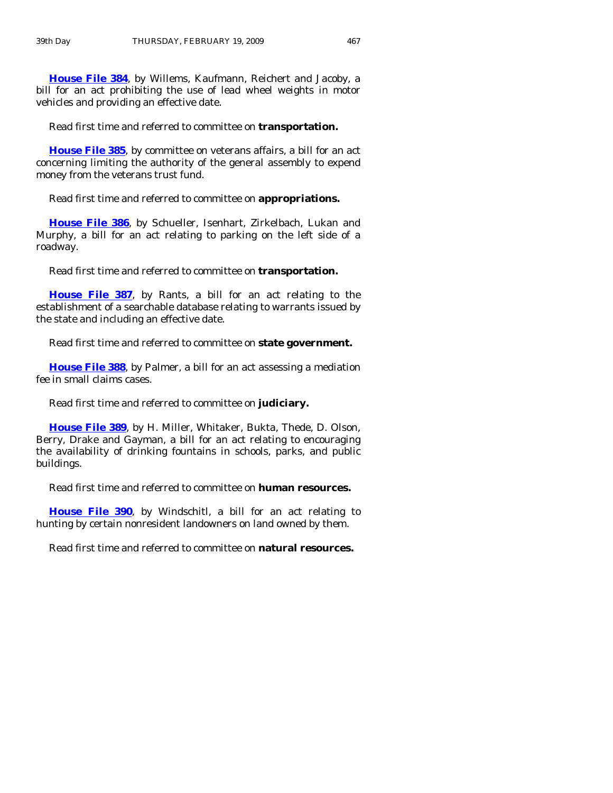**[House File 384](http://coolice.legis.state.ia.us/Cool-ICE/default.asp?Category=billinfo&Service=Billbook&frame=1&GA=83&hbill=HF384)**, by Willems, Kaufmann, Reichert and Jacoby, a bill for an act prohibiting the use of lead wheel weights in motor vehicles and providing an effective date.

Read first time and referred to committee on **transportation.** 

**[House File 385](http://coolice.legis.state.ia.us/Cool-ICE/default.asp?Category=billinfo&Service=Billbook&frame=1&GA=83&hbill=HF385)**, by committee on veterans affairs, a bill for an act concerning limiting the authority of the general assembly to expend money from the veterans trust fund.

Read first time and referred to committee on **appropriations.** 

**[House File 386](http://coolice.legis.state.ia.us/Cool-ICE/default.asp?Category=billinfo&Service=Billbook&frame=1&GA=83&hbill=HF386)**, by Schueller, Isenhart, Zirkelbach, Lukan and Murphy, a bill for an act relating to parking on the left side of a roadway.

Read first time and referred to committee on **transportation.** 

**[House File 387](http://coolice.legis.state.ia.us/Cool-ICE/default.asp?Category=billinfo&Service=Billbook&frame=1&GA=83&hbill=HF387)**, by Rants, a bill for an act relating to the establishment of a searchable database relating to warrants issued by the state and including an effective date.

Read first time and referred to committee on **state government.** 

**[House File 388](http://coolice.legis.state.ia.us/Cool-ICE/default.asp?Category=billinfo&Service=Billbook&frame=1&GA=83&hbill=HF388)**, by Palmer, a bill for an act assessing a mediation fee in small claims cases.

Read first time and referred to committee on **judiciary.** 

**[House File 389](http://coolice.legis.state.ia.us/Cool-ICE/default.asp?Category=billinfo&Service=Billbook&frame=1&GA=83&hbill=HF389)**, by H. Miller, Whitaker, Bukta, Thede, D. Olson, Berry, Drake and Gayman, a bill for an act relating to encouraging the availability of drinking fountains in schools, parks, and public buildings.

Read first time and referred to committee on **human resources.** 

**[House File 390](http://coolice.legis.state.ia.us/Cool-ICE/default.asp?Category=billinfo&Service=Billbook&frame=1&GA=83&hbill=HF390)**, by Windschitl, a bill for an act relating to hunting by certain nonresident landowners on land owned by them.

Read first time and referred to committee on **natural resources.**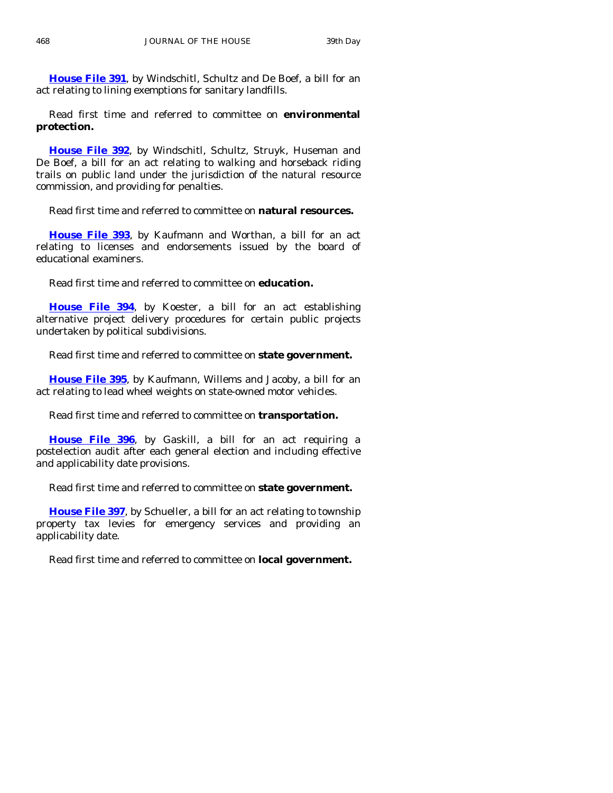**[House File 391](http://coolice.legis.state.ia.us/Cool-ICE/default.asp?Category=billinfo&Service=Billbook&frame=1&GA=83&hbill=HF391)**, by Windschitl, Schultz and De Boef, a bill for an act relating to lining exemptions for sanitary landfills.

 Read first time and referred to committee on **environmental protection.** 

**[House File 392](http://coolice.legis.state.ia.us/Cool-ICE/default.asp?Category=billinfo&Service=Billbook&frame=1&GA=83&hbill=HF392)**, by Windschitl, Schultz, Struyk, Huseman and De Boef, a bill for an act relating to walking and horseback riding trails on public land under the jurisdiction of the natural resource commission, and providing for penalties.

Read first time and referred to committee on **natural resources.** 

**[House File 393](http://coolice.legis.state.ia.us/Cool-ICE/default.asp?Category=billinfo&Service=Billbook&frame=1&GA=83&hbill=HF393)**, by Kaufmann and Worthan, a bill for an act relating to licenses and endorsements issued by the board of educational examiners.

Read first time and referred to committee on **education.** 

**[House File 394](http://coolice.legis.state.ia.us/Cool-ICE/default.asp?Category=billinfo&Service=Billbook&frame=1&GA=83&hbill=HF394)**, by Koester, a bill for an act establishing alternative project delivery procedures for certain public projects undertaken by political subdivisions.

Read first time and referred to committee on **state government.** 

**[House File 395](http://coolice.legis.state.ia.us/Cool-ICE/default.asp?Category=billinfo&Service=Billbook&frame=1&GA=83&hbill=HF395)**, by Kaufmann, Willems and Jacoby, a bill for an act relating to lead wheel weights on state-owned motor vehicles.

Read first time and referred to committee on **transportation.** 

**[House File 396](http://coolice.legis.state.ia.us/Cool-ICE/default.asp?Category=billinfo&Service=Billbook&frame=1&GA=83&hbill=HF396)**, by Gaskill, a bill for an act requiring a postelection audit after each general election and including effective and applicability date provisions.

Read first time and referred to committee on **state government.** 

**[House File 397](http://coolice.legis.state.ia.us/Cool-ICE/default.asp?Category=billinfo&Service=Billbook&frame=1&GA=83&hbill=HF397)**, by Schueller, a bill for an act relating to township property tax levies for emergency services and providing an applicability date.

Read first time and referred to committee on **local government.**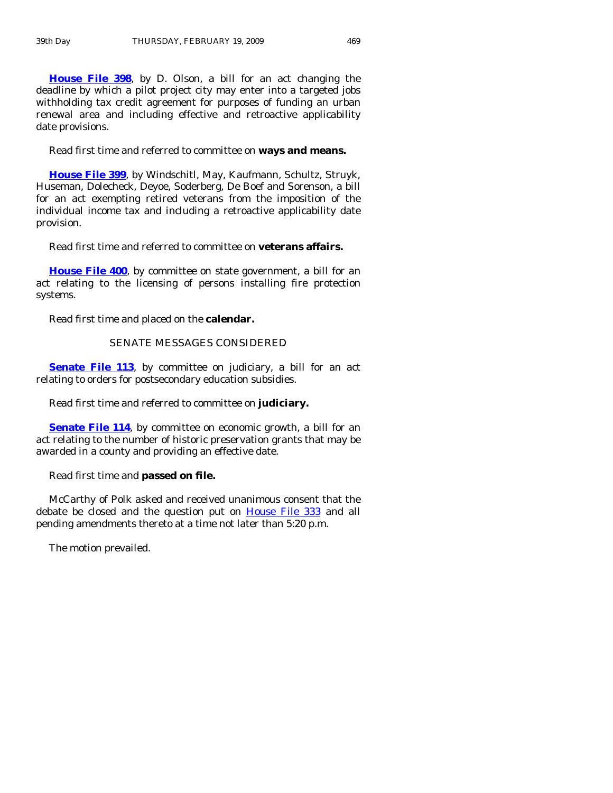**[House File 398](http://coolice.legis.state.ia.us/Cool-ICE/default.asp?Category=billinfo&Service=Billbook&frame=1&GA=83&hbill=HF398)**, by D. Olson, a bill for an act changing the deadline by which a pilot project city may enter into a targeted jobs withholding tax credit agreement for purposes of funding an urban renewal area and including effective and retroactive applicability date provisions.

Read first time and referred to committee on **ways and means.** 

**[House File 399](http://coolice.legis.state.ia.us/Cool-ICE/default.asp?Category=billinfo&Service=Billbook&frame=1&GA=83&hbill=HF399)**, by Windschitl, May, Kaufmann, Schultz, Struyk, Huseman, Dolecheck, Deyoe, Soderberg, De Boef and Sorenson, a bill for an act exempting retired veterans from the imposition of the individual income tax and including a retroactive applicability date provision.

Read first time and referred to committee on **veterans affairs.** 

**[House File 400](http://coolice.legis.state.ia.us/Cool-ICE/default.asp?Category=billinfo&Service=Billbook&frame=1&GA=83&hbill=HF400)**, by committee on state government, a bill for an act relating to the licensing of persons installing fire protection systems.

Read first time and placed on the **calendar.** 

#### SENATE MESSAGES CONSIDERED

**[Senate File 113](http://coolice.legis.state.ia.us/Cool-ICE/default.asp?Category=billinfo&Service=Billbook&frame=1&GA=83&hbill=SF113)**, by committee on judiciary, a bill for an act relating to orders for postsecondary education subsidies.

Read first time and referred to committee on **judiciary.** 

**[Senate File 114](http://coolice.legis.state.ia.us/Cool-ICE/default.asp?Category=billinfo&Service=Billbook&frame=1&GA=83&hbill=SF114), by committee on economic growth, a bill for an** act relating to the number of historic preservation grants that may be awarded in a county and providing an effective date.

Read first time and **passed on file.** 

 McCarthy of Polk asked and received unanimous consent that the debate be closed and the question put on [House File 333](http://coolice.legis.state.ia.us/Cool-ICE/default.asp?Category=billinfo&Service=Billbook&frame=1&GA=83&hbill=HF333) and all pending amendments thereto at a time not later than 5:20 p.m.

The motion prevailed.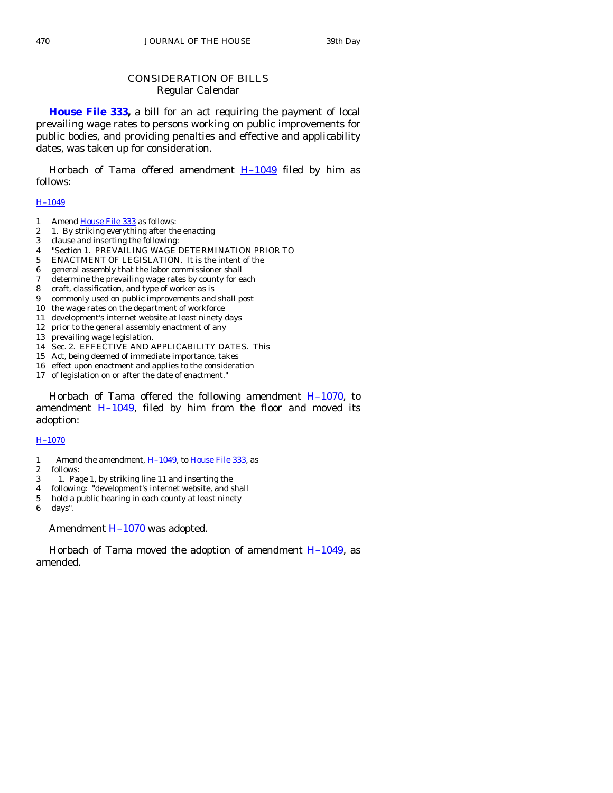# CONSIDERATION OF BILLS Regular Calendar

**[House File 333](http://coolice.legis.state.ia.us/Cool-ICE/default.asp?Category=billinfo&Service=Billbook&frame=1&GA=83&hbill=HF333),** a bill for an act requiring the payment of local prevailing wage rates to persons working on public improvements for public bodies, and providing penalties and effective and applicability dates, was taken up for consideration.

Horbach of Tama offered amendment  $H-1049$  filed by him as follows:

#### [H–1049](http://coolice.legis.state.ia.us/Cool-ICE/default.asp?Category=billinfo&Service=Billbook&frame=1&GA=83&hbill=H1049)

- 1 Amend [House File 333](http://coolice.legis.state.ia.us/Cool-ICE/default.asp?Category=billinfo&Service=Billbook&frame=1&GA=83&hbill=HF333) as follows:
- 2 1. By striking everything after the enacting
- 3 clause and inserting the following:
- 4 "Section 1. PREVAILING WAGE DETERMINATION PRIOR TO
- 5 ENACTMENT OF LEGISLATION. It is the intent of the
- 6 general assembly that the labor commissioner shall
- 7 determine the prevailing wage rates by county for each
- 8 craft, classification, and type of worker as is
- 9 commonly used on public improvements and shall post
- 10 the wage rates on the department of workforce
- 11 development's internet website at least ninety days 12 prior to the general assembly enactment of any
- 13 prevailing wage legislation.
- 14 Sec. 2. EFFECTIVE AND APPLICABILITY DATES. This
- 15 Act, being deemed of immediate importance, takes
- 16 effect upon enactment and applies to the consideration
- 17 of legislation on or after the date of enactment."

Horbach of Tama offered the following amendment  $H-1070$ , to amendment  $H-1049$ , filed by him from the floor and moved its adoption:

#### [H–1070](http://coolice.legis.state.ia.us/Cool-ICE/default.asp?Category=billinfo&Service=Billbook&frame=1&GA=83&hbill=H1070)

- 1 Amend the amendment, [H–1049](http://coolice.legis.state.ia.us/Cool-ICE/default.asp?Category=billinfo&Service=Billbook&frame=1&GA=83&hbill=H1049), to [House File 333,](http://coolice.legis.state.ia.us/Cool-ICE/default.asp?Category=billinfo&Service=Billbook&frame=1&GA=83&hbill=HF333) as
- 2 follows:
- 3 1. Page 1, by striking line 11 and inserting the
- 4 following: "development's internet website, and shall
- 5 hold a public hearing in each county at least ninety

6 days".

Amendment **H-1070** was adopted.

Horbach of Tama moved the adoption of amendment  $H-1049$ , as amended.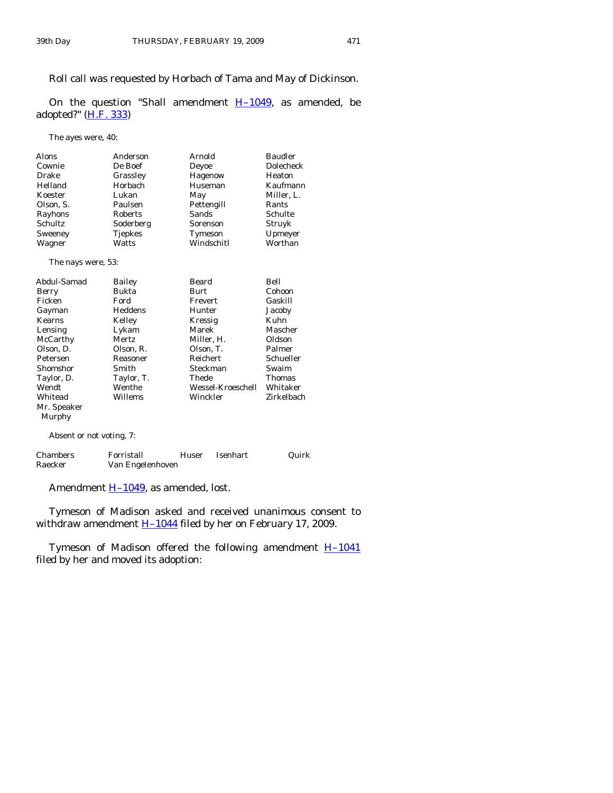Roll call was requested by Horbach of Tama and May of Dickinson.

On the question "Shall amendment  $H-1049$ , as amended, be adopted?" [\(H.F. 333](http://coolice.legis.state.ia.us/Cool-ICE/default.asp?Category=billinfo&Service=Billbook&frame=1&GA=83&hbill=HF333))

The ayes were, 40:

| <b>Alons</b> | Anderson       | Arnold     | <b>Baudler</b> |
|--------------|----------------|------------|----------------|
| Cownie       | De Boef        | Deyoe      | Dolecheck      |
| Drake        | Grassley       | Hagenow    | Heaton         |
| Helland      | Horbach        | Huseman    | Kaufmann       |
| Koester      | Lukan          | May        | Miller, L.     |
| Olson, S.    | Paulsen        | Pettengill | Rants          |
| Rayhons      | Roberts        | Sands      | Schulte        |
| Schultz      | Soderberg      | Sorenson   | Struyk         |
| Sweeney      | <b>Tjepkes</b> | Tymeson    | Upmeyer        |
| Wagner       | Watts          | Windschitl | Worthan        |

The nays were, 53:

| Abdul-Samad | <b>Bailey</b> | Beard             | Bell          |
|-------------|---------------|-------------------|---------------|
| Berry       | Bukta         | <b>Burt</b>       | Cohoon        |
| Ficken      | Ford          | Frevert           | Gaskill       |
| Gayman      | Heddens       | Hunter            | Jacoby        |
| Kearns      | Kelley        | Kressig           | Kuhn          |
| Lensing     | Lykam         | Marek             | Mascher       |
| McCarthy    | Mertz         | Miller. H.        | Oldson        |
| Olson, D.   | Olson, R.     | Olson, T.         | Palmer        |
| Petersen    | Reasoner      | <b>Reichert</b>   | Schueller     |
| Shomshor    | Smith         | Steckman          | Swaim         |
| Taylor, D.  | Taylor, T.    | Thede             | <b>Thomas</b> |
| Wendt       | Wenthe        | Wessel-Kroeschell | Whitaker      |
| Whitead     | Willems       | Winckler          | Zirkelbach    |
| Mr. Speaker |               |                   |               |
| Murphy      |               |                   |               |
|             |               |                   |               |

Absent or not voting, 7:

| <b>Chambers</b> | Forristall       | Huser | Isenhart | Quirk |
|-----------------|------------------|-------|----------|-------|
| Raecker         | Van Engelenhoven |       |          |       |

Amendment H-1049, as amended, lost.

 Tymeson of Madison asked and received unanimous consent to withdraw amendment  $H-1044$  filed by her on February 17, 2009.

Tymeson of Madison offered the following amendment **H-1041** filed by her and moved its adoption: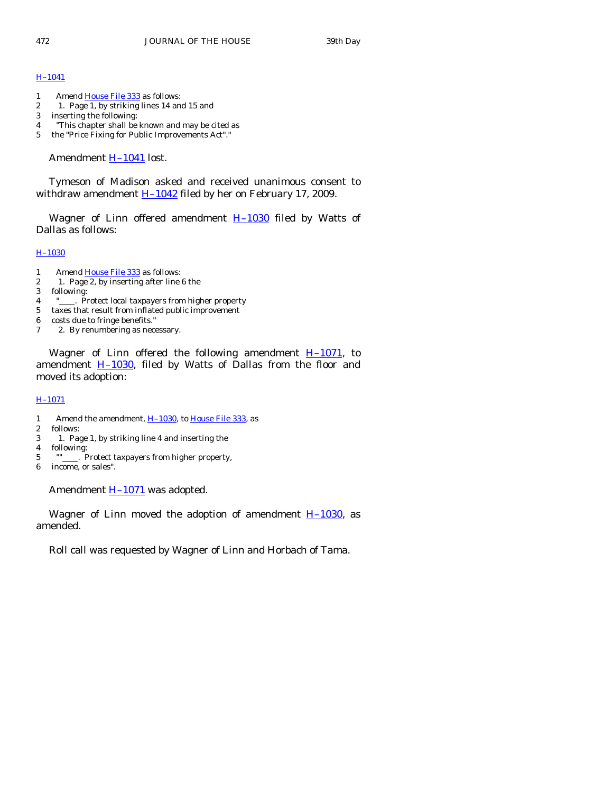#### [H–1041](http://coolice.legis.state.ia.us/Cool-ICE/default.asp?Category=billinfo&Service=Billbook&frame=1&GA=83&hbill=H1041)

- 1 Amend [House File 333](http://coolice.legis.state.ia.us/Cool-ICE/default.asp?Category=billinfo&Service=Billbook&frame=1&GA=83&hbill=HF333) as follows:
- 2 1. Page 1, by striking lines 14 and 15 and
- 3 inserting the following:
- 4 "This chapter shall be known and may be cited as
- 5 the "Price Fixing for Public Improvements Act"."

Amendment [H–1041](http://coolice.legis.state.ia.us/Cool-ICE/default.asp?Category=billinfo&Service=Billbook&frame=1&GA=83&hbill=H1041) lost.

 Tymeson of Madison asked and received unanimous consent to withdraw amendment  $H-1042$  filed by her on February 17, 2009.

Wagner of Linn offered amendment  $H-1030$  filed by Watts of Dallas as follows:

#### [H–1030](http://coolice.legis.state.ia.us/Cool-ICE/default.asp?Category=billinfo&Service=Billbook&frame=1&GA=83&hbill=H1030)

- 1 Amend [House File 333](http://coolice.legis.state.ia.us/Cool-ICE/default.asp?Category=billinfo&Service=Billbook&frame=1&GA=83&hbill=HF333) as follows:
- 2 1. Page 2, by inserting after line 6 the
- 3 following:
- 4 " . Protect local taxpayers from higher property
- 5 taxes that result from inflated public improvement
- 6 costs due to fringe benefits."
- 7 2. By renumbering as necessary.

Wagner of Linn offered the following amendment  $H-1071$ , to amendment  $H-1030$ , filed by Watts of Dallas from the floor and moved its adoption:

#### [H–1071](http://coolice.legis.state.ia.us/Cool-ICE/default.asp?Category=billinfo&Service=Billbook&frame=1&GA=83&hbill=H1071)

- 1 Amend the amendment,  $\underline{H-1030}$ , to  $\underline{House\ File\ 333}}$ , as<br>2 follows:
- follows:
- 3 1. Page 1, by striking line 4 and inserting the
- 4 following:
- 5 "" . Protect taxpayers from higher property,
- 6 income, or sales".

Amendment **H-1071** was adopted.

Wagner of Linn moved the adoption of amendment  $H-1030$ , as amended.

Roll call was requested by Wagner of Linn and Horbach of Tama.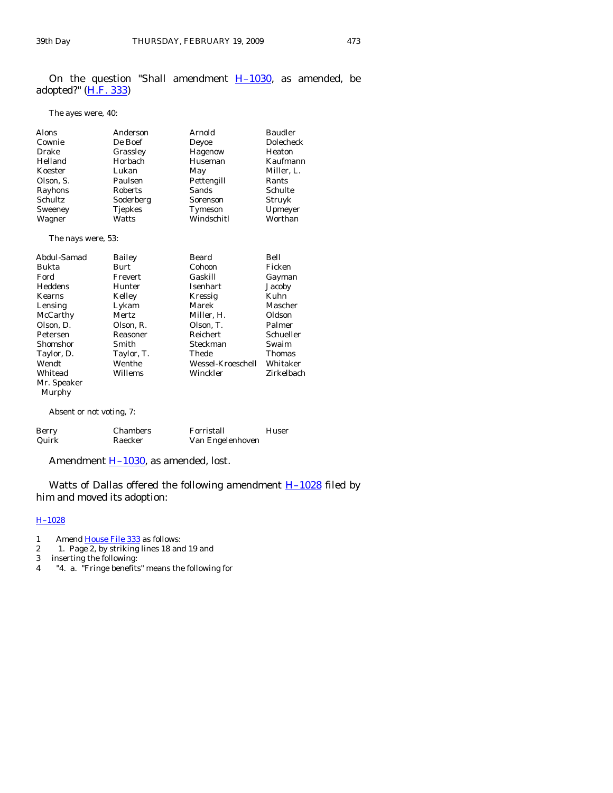On the question "Shall amendment  $H-1030$ , as amended, be adopted?" [\(H.F. 333](http://coolice.legis.state.ia.us/Cool-ICE/default.asp?Category=billinfo&Service=Billbook&frame=1&GA=83&hbill=HF333))

The ayes were, 40:

| Alons                                                                               | Anderson     | Arnold            | <b>Baudler</b> |
|-------------------------------------------------------------------------------------|--------------|-------------------|----------------|
| Cownie                                                                              | De Boef      | Deyoe             | Dolecheck      |
| Drake                                                                               | Grassley     | Hagenow           | Heaton         |
| Helland                                                                             | Horbach      | Huseman           | Kaufmann       |
| Koester                                                                             | Lukan        | May               | Miller, L.     |
| Olson, S.                                                                           | Paulsen      | Pettengill        | Rants          |
| Rayhons                                                                             | Roberts      | <b>Sands</b>      | Schulte        |
| Schultz                                                                             | Soderberg    | Sorenson          | Struyk         |
| Sweeney                                                                             | Tjepkes      | Tymeson           | Upmeyer        |
| Wagner                                                                              | Watts        | Windschitl        | Worthan        |
| The nays were, 53:                                                                  |              |                   |                |
| Abdul-Samad                                                                         | Bailey       | Beard             | Bell           |
| Bukta                                                                               | Burt         | Cohoon            | Ficken         |
| Ford                                                                                | Frevert      | Gaskill           | Gayman         |
| Heddens                                                                             | Hunter       | <b>Isenhart</b>   | Jacoby         |
| <b>Kearns</b>                                                                       | Kelley       | Kressig           | Kuhn           |
| Lensing                                                                             | Lykam        | Marek             | Mascher        |
| McCarthy                                                                            | <b>Mertz</b> | Miller, H.        | Oldson         |
| Olson, D.                                                                           | Olson, R.    | Olson, T.         | Palmer         |
| Petersen                                                                            | Reasoner     | <b>Reichert</b>   | Schueller      |
| Shomshor                                                                            | Smith        | Steckman          | Swaim          |
| Taylor, D.                                                                          | Taylor, T.   | Thede             | <b>Thomas</b>  |
| Wendt                                                                               | Wenthe       | Wessel-Kroeschell | Whitaker       |
| Whitead                                                                             | Willems      | Winckler          | Zirkelbach     |
| Mr. Speaker                                                                         |              |                   |                |
| Murphy                                                                              |              |                   |                |
| $\mathbf{A} \mathbf{I}$ , and $\mathbf{A} \mathbf{I}$ , and $\mathbf{A} \mathbf{I}$ |              |                   |                |

Absent or not voting, 7:

| Berry | <b>Chambers</b> | Forristall       | Huser |
|-------|-----------------|------------------|-------|
| Quirk | Raecker         | Van Engelenhoven |       |

Amendment **H-1030**, as amended, lost.

Watts of Dallas offered the following amendment  $H-1028$  filed by him and moved its adoption:

#### [H–1028](http://coolice.legis.state.ia.us/Cool-ICE/default.asp?Category=billinfo&Service=Billbook&frame=1&GA=83&hbill=H1028)

- 1 Amend [House File 333](http://coolice.legis.state.ia.us/Cool-ICE/default.asp?Category=billinfo&Service=Billbook&frame=1&GA=83&hbill=HF333) as follows:
- 2 1. Page 2, by striking lines 18 and 19 and
- 3 inserting the following:
- 4 "4. a. "Fringe benefits" means the following for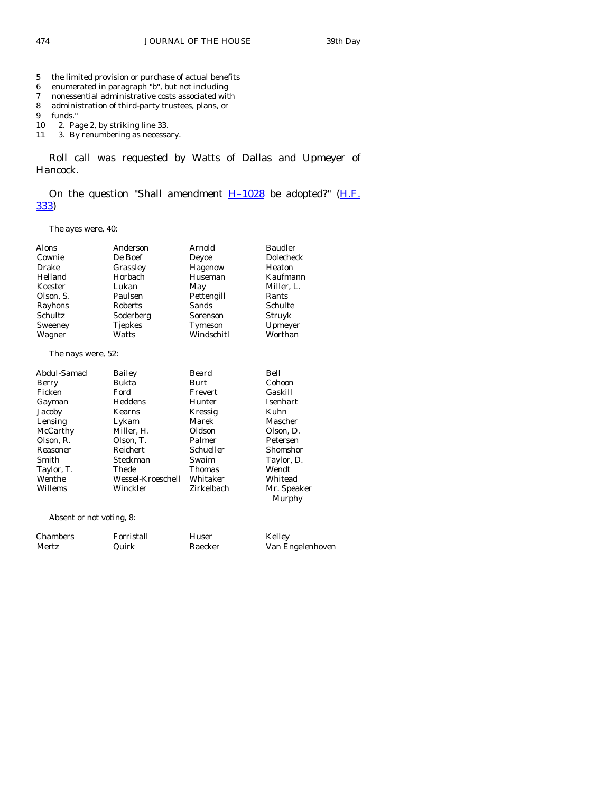- 5 the limited provision or purchase of actual benefits
- 6 enumerated in paragraph "b", but not including
- 7 nonessential administrative costs associated with<br>8 administration of third-party trustees, plans, or
- administration of third-party trustees, plans, or
- 9 funds."
- 10 2. Page 2, by striking line 33.
- 11 3. By renumbering as necessary.

 Roll call was requested by Watts of Dallas and Upmeyer of Hancock.

On the question "Shall amendment  $H-1028$  be adopted?" ( $H.F.$ [333\)](http://coolice.legis.state.ia.us/Cool-ICE/default.asp?Category=billinfo&Service=Billbook&frame=1&GA=83&hbill=HF333)

The ayes were, 40:

| <b>Alons</b>       | Anderson       | Arnold     | <b>Baudler</b> |
|--------------------|----------------|------------|----------------|
| Cownie             | De Boef        | Deyoe      | Dolecheck      |
| Drake              | Grassley       | Hagenow    | Heaton         |
| Helland            | Horbach        | Huseman    | Kaufmann       |
| Koester            | Lukan          | May        | Miller, L.     |
| Olson, S.          | Paulsen        | Pettengill | Rants          |
| Rayhons            | <b>Roberts</b> | Sands      | Schulte        |
| <b>Schultz</b>     | Soderberg      | Sorenson   | Struyk         |
| Sweeney            | <b>Tjepkes</b> | Tymeson    | Upmeyer        |
| Wagner             | Watts          | Windschitl | Worthan        |
| The nays were, 52: |                |            |                |
| Abdul-Samad        | Bailey         | Beard      | Bell           |

|            | -----             |               |                       |
|------------|-------------------|---------------|-----------------------|
| Berry      | Bukta             | Burt          | Cohoon                |
| Ficken     | Ford              | Frevert       | Gaskill               |
| Gayman     | Heddens           | Hunter        | <b>Isenhart</b>       |
| Jacoby     | Kearns            | Kressig       | Kuhn                  |
| Lensing    | Lykam             | Marek         | Mascher               |
| McCarthy   | Miller, H.        | Oldson        | Olson, D.             |
| Olson, R.  | Olson, T.         | Palmer        | Petersen              |
| Reasoner   | Reichert          | Schueller     | Shomshor              |
| Smith      | Steckman          | Swaim         | Taylor, D.            |
| Taylor, T. | Thede             | <b>Thomas</b> | Wendt                 |
| Wenthe     | Wessel-Kroeschell | Whitaker      | Whitead               |
| Willems    | Winckler          | Zirkelbach    | Mr. Speaker<br>Murphy |
|            |                   |               |                       |

Absent or not voting, 8:

| <b>Chambers</b> | Forristall | Huser   | Kelley           |
|-----------------|------------|---------|------------------|
| Mertz           | Quirk      | Raecker | Van Engelenhoven |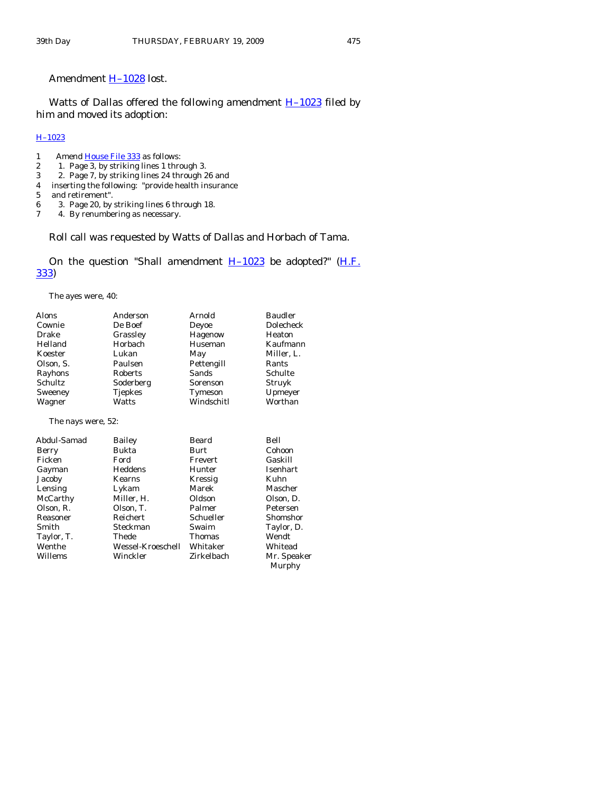# Amendment [H–1028](http://coolice.legis.state.ia.us/Cool-ICE/default.asp?Category=billinfo&Service=Billbook&frame=1&GA=83&hbill=H1028) lost.

Watts of Dallas offered the following amendment  $H-1023$  filed by him and moved its adoption:

#### [H–1023](http://coolice.legis.state.ia.us/Cool-ICE/default.asp?Category=billinfo&Service=Billbook&frame=1&GA=83&hbill=H1023)

- 1 Amend [House File 333](http://coolice.legis.state.ia.us/Cool-ICE/default.asp?Category=billinfo&Service=Billbook&frame=1&GA=83&hbill=HF333) as follows:
- 
- 2 1. Page 3, by striking lines 1 through 3.<br>3 2. Page 7, by striking lines 24 through 2 3 2. Page 7, by striking lines 24 through 26 and
- 4 inserting the following: "provide health insurance
- 
- 5 and retirement".<br>6 3. Page 20, by 6 3. Page 20, by striking lines 6 through 18.
- 4. By renumbering as necessary.

#### Roll call was requested by Watts of Dallas and Horbach of Tama.

On the question "Shall amendment  $H-1023$  be adopted?" (H.F. [333\)](http://coolice.legis.state.ia.us/Cool-ICE/default.asp?Category=billinfo&Service=Billbook&frame=1&GA=83&hbill=HF333)

The ayes were, 40:

| <b>Alons</b>       | Anderson          | Arnold        | <b>Baudler</b>        |
|--------------------|-------------------|---------------|-----------------------|
| Cownie             | De Boef           | Deyoe         | Dolecheck             |
| Drake              | Grassley          | Hagenow       | Heaton                |
| Helland            | Horbach           | Huseman       | Kaufmann              |
| Koester            | Lukan             | May           | Miller, L.            |
| Olson, S.          | Paulsen           | Pettengill    | Rants                 |
| Rayhons            | Roberts           | Sands         | Schulte               |
| <b>Schultz</b>     | Soderberg         | Sorenson      | Struyk                |
| Sweeney            | Tjepkes           | Tymeson       | Upmeyer               |
| Wagner             | Watts             | Windschitl    | Worthan               |
| The nays were, 52: |                   |               |                       |
| Abdul-Samad        | Bailey            | Beard         | Bell                  |
| Berry              | <b>Bukta</b>      | Burt          | Cohoon                |
| Ficken             | Ford              | Frevert       | Gaskill               |
| Gayman             | Heddens           | Hunter        | Isenhart              |
| Jacoby             | <b>Kearns</b>     | Kressig       | Kuhn                  |
| Lensing            | Lykam             | Marek         | Mascher               |
| McCarthy           | Miller, H.        | Oldson        | Olson, D.             |
| Olson, R.          | Olson, T.         | Palmer        | Petersen              |
| Reasoner           | Reichert          | Schueller     | Shomshor              |
| Smith              | Steckman          | Swaim         | Taylor, D.            |
| Taylor, T.         | Thede             | <b>Thomas</b> | Wendt                 |
| Wenthe             | Wessel-Kroeschell | Whitaker      | Whitead               |
| Willems            | Winckler          | Zirkelbach    | Mr. Speaker<br>Murphy |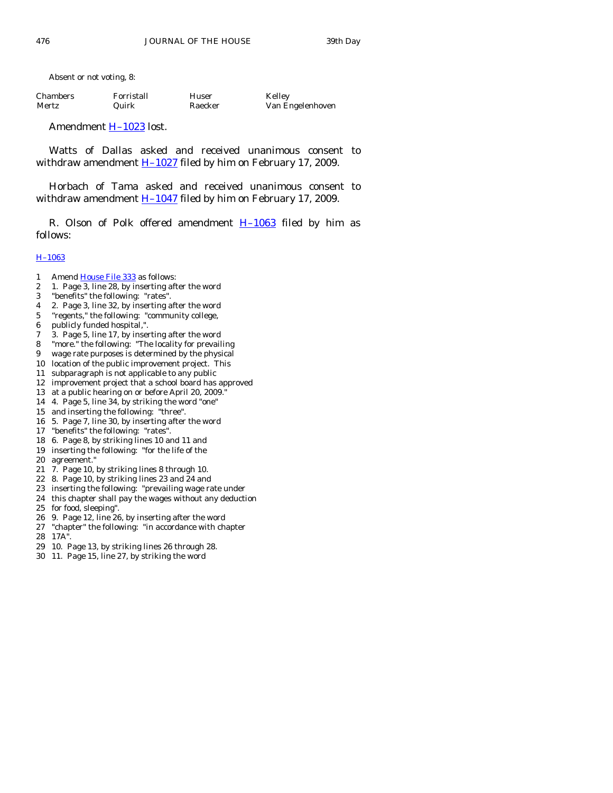Absent or not voting, 8:

| <b>Chambers</b> | Forristall | Huser   | Kelley           |
|-----------------|------------|---------|------------------|
| Mertz           | Quirk      | Raecker | Van Engelenhoven |

Amendment **H-1023** lost.

 Watts of Dallas asked and received unanimous consent to withdraw amendment  $H-1027$  filed by him on February 17, 2009.

 Horbach of Tama asked and received unanimous consent to withdraw amendment  $H-1047$  filed by him on February 17, 2009.

R. Olson of Polk offered amendment  $H-1063$  filed by him as follows:

#### [H–1063](http://coolice.legis.state.ia.us/Cool-ICE/default.asp?Category=billinfo&Service=Billbook&frame=1&GA=83&hbill=H1063)

- 1 Amend [House File 333](http://coolice.legis.state.ia.us/Cool-ICE/default.asp?Category=billinfo&Service=Billbook&frame=1&GA=83&hbill=HF333) as follows:
- 2 1. Page 3, line 28, by inserting after the word
- 3 "benefits" the following: "rates".
- 4 2. Page 3, line 32, by inserting after the word
- 5 "regents," the following: "community college,
- 6 publicly funded hospital,".
- 7 3. Page 5, line 17, by inserting after the word
- 8 "more." the following: "The locality for prevailing
- 9 wage rate purposes is determined by the physical
- 10 location of the public improvement project. This
- 11 subparagraph is not applicable to any public
- 12 improvement project that a school board has approved
- 13 at a public hearing on or before April 20, 2009."
- 14 4. Page 5, line 34, by striking the word "one"
- 15 and inserting the following: "three".
- 16 5. Page 7, line 30, by inserting after the word
- 17 "benefits" the following: "rates".
- 18 6. Page 8, by striking lines 10 and 11 and
- 19 inserting the following: "for the life of the
- 20 agreement."
- 21 7. Page 10, by striking lines 8 through 10.
- 22 8. Page 10, by striking lines 23 and 24 and
- 23 inserting the following: "prevailing wage rate under
- 24 this chapter shall pay the wages without any deduction
- 25 for food, sleeping".
- 26 9. Page 12, line 26, by inserting after the word
- 27 "chapter" the following: "in accordance with chapter 28 17A".
- 29 10. Page 13, by striking lines 26 through 28.
- 30 11. Page 15, line 27, by striking the word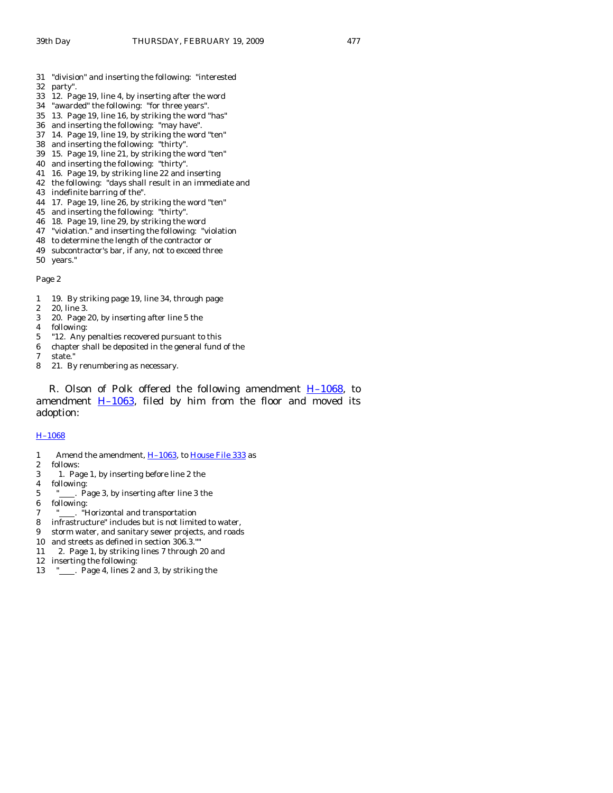- 31 "division" and inserting the following: "interested
- 32 party".
- 33 12. Page 19, line 4, by inserting after the word
- 34 "awarded" the following: "for three years".
- 35 13. Page 19, line 16, by striking the word "has"
- 36 and inserting the following: "may have".
- 37 14. Page 19, line 19, by striking the word "ten"
- 38 and inserting the following: "thirty".
- 39 15. Page 19, line 21, by striking the word "ten"
- 40 and inserting the following: "thirty".
- 41 16. Page 19, by striking line 22 and inserting
- 42 the following: "days shall result in an immediate and
- 43 indefinite barring of the".
- 44 17. Page 19, line 26, by striking the word "ten"
- 45 and inserting the following: "thirty".
- 46 18. Page 19, line 29, by striking the word
- 47 "violation." and inserting the following: "violation
- 48 to determine the length of the contractor or
- 49 subcontractor's bar, if any, not to exceed three
- 50 years."

Page 2

- 1 19. By striking page 19, line 34, through page
- 2 20, line 3.
- 3 20. Page 20, by inserting after line 5 the
- 4 following:
- 5 "12. Any penalties recovered pursuant to this
- 6 chapter shall be deposited in the general fund of the
- 7 state."
- 8 21. By renumbering as necessary.

R. Olson of Polk offered the following amendment  $H-1068$ , to amendment  $H-1063$ , filed by him from the floor and moved its adoption:

#### [H–1068](http://coolice.legis.state.ia.us/Cool-ICE/default.asp?Category=billinfo&Service=Billbook&frame=1&GA=83&hbill=H1068)

- 1 Amend the amendment, H-1063, to [House File 333](http://coolice.legis.state.ia.us/Cool-ICE/default.asp?Category=billinfo&Service=Billbook&frame=1&GA=83&hbill=HF333) as
- 2 follows:
- 3 1. Page 1, by inserting before line 2 the
- 4 following:
- 5  $"$  . Page 3, by inserting after line 3 the
- 6 following:
- 7 "
.... "Horizontal and transportation
- 8 infrastructure" includes but is not limited to water,
- 9 storm water, and sanitary sewer projects, and roads
- 10 and streets as defined in section 306.3.""
- 11 2. Page 1, by striking lines 7 through 20 and
- 12 inserting the following:
- 13 " . Page 4, lines 2 and 3, by striking the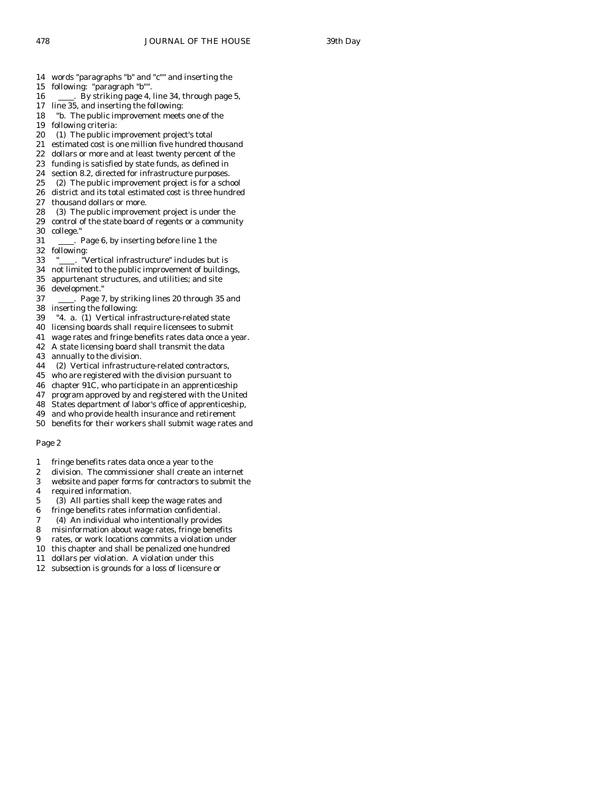14 words "paragraphs "b" and "c"" and inserting the

- 15 following: "paragraph "b"".
- 16 . By striking page 4, line 34, through page 5,
- 17 line 35, and inserting the following:
- 18 "b. The public improvement meets one of the
- 19 following criteria:
- 20 (1) The public improvement project's total
- 
- 21 estimated cost is one million five hundred thousand<br>22 dollars or more and at least twenty percent of the dollars or more and at least twenty percent of the
- 23 funding is satisfied by state funds, as defined in
- 24 section 8.2, directed for infrastructure purposes.
- 25 (2) The public improvement project is for a school
- 26 district and its total estimated cost is three hundred
- 27 thousand dollars or more.
- 28 (3) The public improvement project is under the
- 29 control of the state board of regents or a community 30 college."
- 31 . Page 6, by inserting before line 1 the
- 32 following:<br>33 " . "\ Vertical infrastructure" includes but is
- 34 not limited to the public improvement of buildings,
- 35 appurtenant structures, and utilities; and site 36 development."
- 37 . Page 7, by striking lines 20 through 35 and 38 inserting the following:
- 
- 39 "4. a. (1) Vertical infrastructure-related state 40 licensing boards shall require licensees to submit
- 41 wage rates and fringe benefits rates data once a year.
- 42 A state licensing board shall transmit the data
- 43 annually to the division.
- 44 (2) Vertical infrastructure-related contractors,
- 45 who are registered with the division pursuant to
- 46 chapter 91C, who participate in an apprenticeship
- 47 program approved by and registered with the United
- 48 States department of labor's office of apprenticeship,
- 49 and who provide health insurance and retirement
- 50 benefits for their workers shall submit wage rates and

#### Page 2

- 1 fringe benefits rates data once a year to the
- 2 division. The commissioner shall create an internet
- 3 website and paper forms for contractors to submit the
- 4 required information.
- 5 (3) All parties shall keep the wage rates and
- 6 fringe benefits rates information confidential.
- 7 (4) An individual who intentionally provides
- 8 misinformation about wage rates, fringe benefits
- 9 rates, or work locations commits a violation under
- 10 this chapter and shall be penalized one hundred
- 11 dollars per violation. A violation under this
- 12 subsection is grounds for a loss of licensure or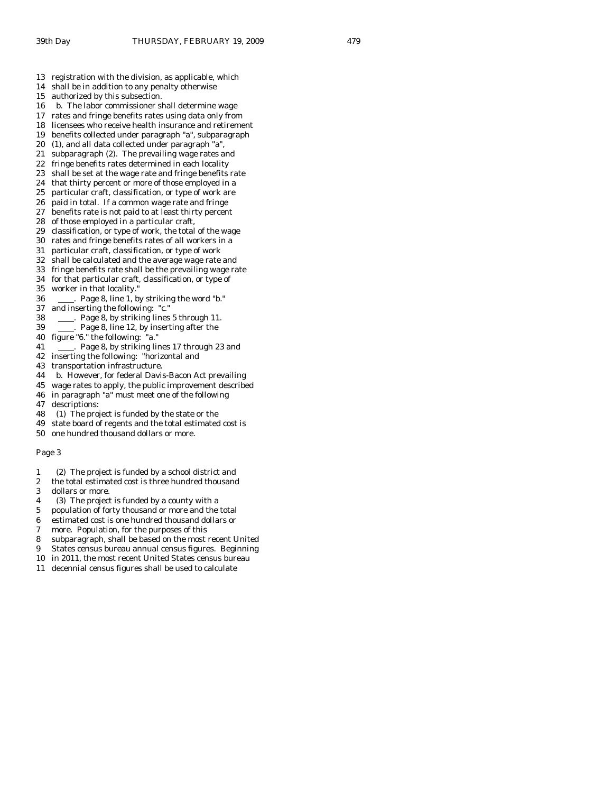- 13 registration with the division, as applicable, which
- 14 shall be in addition to any penalty otherwise
- 15 authorized by this subsection.
- 16 b. The labor commissioner shall determine wage
- 17 rates and fringe benefits rates using data only from
- 18 licensees who receive health insurance and retirement
- 19 benefits collected under paragraph "a", subparagraph
- 20 (1), and all data collected under paragraph "a",
- 21 subparagraph (2). The prevailing wage rates and 22 fringe benefits rates determined in each locality
- 23 shall be set at the wage rate and fringe benefits rate
- 24 that thirty percent or more of those employed in a
- 25 particular craft, classification, or type of work are
- 26 paid in total. If a common wage rate and fringe
- 27 benefits rate is not paid to at least thirty percent
- 28 of those employed in a particular craft,
- 29 classification, or type of work, the total of the wage
- 30 rates and fringe benefits rates of all workers in a
- 31 particular craft, classification, or type of work
- 32 shall be calculated and the average wage rate and
- 33 fringe benefits rate shall be the prevailing wage rate
- 34 for that particular craft, classification, or type of
- 35 worker in that locality."
- 36 . Page 8, line 1, by striking the word "b."
- 37 and inserting the following: "c."
- 38 . Page 8, by striking lines 5 through 11.
- 39 . Page 8, line 12, by inserting after the
- 40 figure "6." the following: "a."
- 41 . Page 8, by striking lines 17 through 23 and
- 42 inserting the following: "horizontal and
- 43 transportation infrastructure.
- 44 b. However, for federal Davis-Bacon Act prevailing
- 45 wage rates to apply, the public improvement described
- 46 in paragraph "a" must meet one of the following
- 47 descriptions:
- 48 (1) The project is funded by the state or the
- 49 state board of regents and the total estimated cost is
- 50 one hundred thousand dollars or more.

#### Page 3

- 1 (2) The project is funded by a school district and
- 2 the total estimated cost is three hundred thousand
- 3 dollars or more.
- 4 (3) The project is funded by a county with a
- 5 population of forty thousand or more and the total
- 6 estimated cost is one hundred thousand dollars or
- 7 more. Population, for the purposes of this
- 8 subparagraph, shall be based on the most recent United
- 9 States census bureau annual census figures. Beginning
- 10 in 2011, the most recent United States census bureau
- 11 decennial census figures shall be used to calculate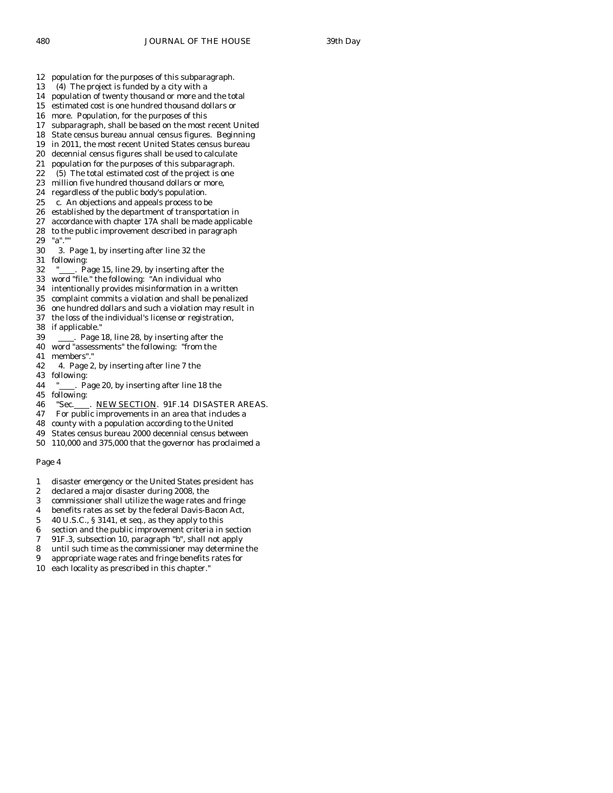- 12 population for the purposes of this subparagraph.
- 13 (4) The project is funded by a city with a
- 14 population of twenty thousand or more and the total
- 15 estimated cost is one hundred thousand dollars or
- 16 more. Population, for the purposes of this
- 17 subparagraph, shall be based on the most recent United
- 18 State census bureau annual census figures. Beginning
- 19 in 2011, the most recent United States census bureau
- 20 decennial census figures shall be used to calculate
- 21 population for the purposes of this subparagraph.
- 22 (5) The total estimated cost of the project is one 23 million five hundred thousand dollars or more,
- 24 regardless of the public body's population.
- 25 c. An objections and appeals process to be
- 26 established by the department of transportation in
- 27 accordance with chapter 17A shall be made applicable
- 28 to the public improvement described in paragraph
- 29 "a"."
- 30 3. Page 1, by inserting after line 32 the following:
- 32 "<sub>\_\_\_\_</sub>. Page 15, line 29, by inserting after the
- 33 word "file." the following: "An individual who
- 34 intentionally provides misinformation in a written
- 35 complaint commits a violation and shall be penalized
- 36 one hundred dollars and such a violation may result in
- 37 the loss of the individual's license or registration,
- 38 if applicable."
- 39 . Page 18, line 28, by inserting after the
- 40 word "assessments" the following: "from the
- 41 members"."
- 42 4. Page 2, by inserting after line 7 the
- 43 following:
- 44 "
... Page 20, by inserting after line 18 the
- 45 following:
- 46 "Sec. . NEW SECTION. 91F.14 DISASTER AREAS.
- 47 For public improvements in an area that includes a
- 48 county with a population according to the United
- 49 States census bureau 2000 decennial census between
- 50 110,000 and 375,000 that the governor has proclaimed a

#### Page 4

- 1 disaster emergency or the United States president has
- 2 declared a major disaster during 2008, the
- 3 commissioner shall utilize the wage rates and fringe
- 4 benefits rates as set by the federal Davis-Bacon Act,
- 5 40 U.S.C., § 3141, et seq., as they apply to this
- 6 section and the public improvement criteria in section
- 7 91F.3, subsection 10, paragraph "b", shall not apply
- 8 until such time as the commissioner may determine the
- 9 appropriate wage rates and fringe benefits rates for
- 10 each locality as prescribed in this chapter."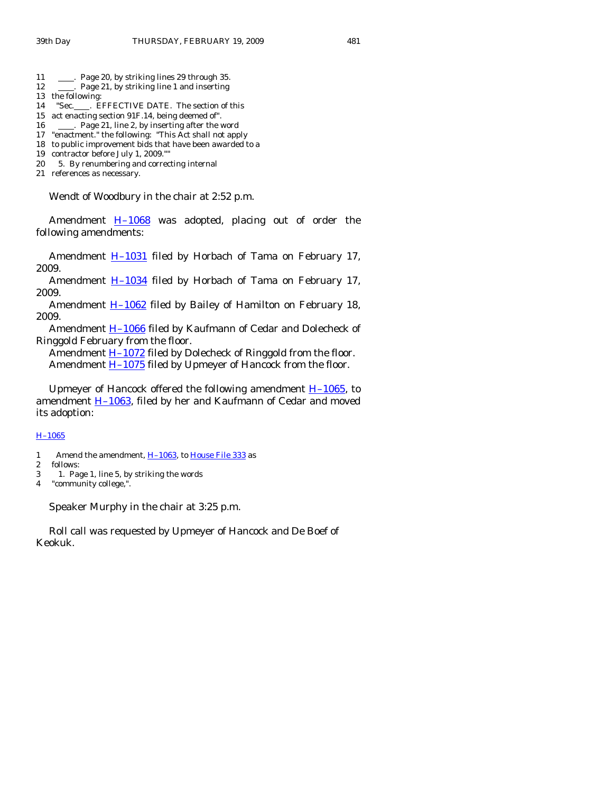- 11 . Page 20, by striking lines 29 through 35.
- 12 . Page 21, by striking line 1 and inserting
- 13 the following:
- 14 "Sec. . EFFECTIVE DATE. The section of this
- 15 act enacting section 91F.14, being deemed of".
- 16 . Page 21, line 2, by inserting after the word
- 17 "enactment." the following: "This Act shall not apply
- 18 to public improvement bids that have been awarded to a
- 19 contractor before July 1, 2009.""
- 20 5. By renumbering and correcting internal
- 21 references as necessary.

Wendt of Woodbury in the chair at 2:52 p.m.

Amendment  $H-1068$  was adopted, placing out of order the following amendments:

Amendment  $H-1031$  filed by Horbach of Tama on February 17, 2009.

Amendment H-1034 filed by Horbach of Tama on February 17, 2009.

Amendment **H**-1062 filed by Bailey of Hamilton on February 18, 2009.

Amendment **H-1066** filed by Kaufmann of Cedar and Dolecheck of Ringgold February from the floor.

Amendment **H**–1072 filed by Dolecheck of Ringgold from the floor. Amendment **H-1075** filed by Upmeyer of Hancock from the floor.

Upmeyer of Hancock offered the following amendment  $H-1065$ , to amendment  $H-1063$ , filed by her and Kaufmann of Cedar and moved its adoption:

#### [H–1065](http://coolice.legis.state.ia.us/Cool-ICE/default.asp?Category=billinfo&Service=Billbook&frame=1&GA=83&hbill=H1065)

- 1 Amend the amendment, H-1063, to [House File 333](http://coolice.legis.state.ia.us/Cool-ICE/default.asp?Category=billinfo&Service=Billbook&frame=1&GA=83&hbill=HF333) as
- 2 follows:
- 3 1. Page 1, line 5, by striking the words
- 4 "community college,".

Speaker Murphy in the chair at 3:25 p.m.

 Roll call was requested by Upmeyer of Hancock and De Boef of Keokuk.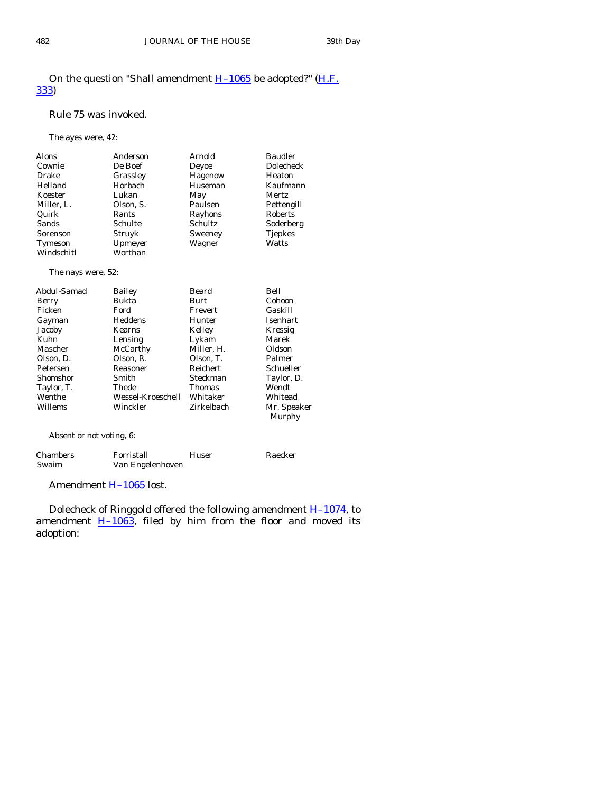# On the question "Shall amendment  $H-1065$  be adopted?" ( $H.F.$ [333\)](http://coolice.legis.state.ia.us/Cool-ICE/default.asp?Category=billinfo&Service=Billbook&frame=1&GA=83&hbill=HF333)

#### Rule 75 was invoked.

The ayes were, 42:

| <b>Alons</b> | Anderson  | Arnold  | <b>Baudler</b> |
|--------------|-----------|---------|----------------|
| Cownie       | De Boef   | Deyoe   | Dolecheck      |
| Drake        | Grassley  | Hagenow | Heaton         |
| Helland      | Horbach   | Huseman | Kaufmann       |
| Koester      | Lukan     | May     | Mertz          |
| Miller, L.   | Olson, S. | Paulsen | Pettengill     |
| Quirk        | Rants     | Rayhons | Roberts        |
| Sands        | Schulte   | Schultz | Soderberg      |
| Sorenson     | Struyk    | Sweeney | <b>Tjepkes</b> |
| Tymeson      | Upmeyer   | Wagner  | Watts          |
| Windschitl   | Worthan   |         |                |

The nays were, 52:

| Abdul-Samad | Bailey            | Beard           | Bell            |
|-------------|-------------------|-----------------|-----------------|
| Berry       | Bukta             | Burt            | Cohoon          |
| Ficken      | Ford              | Frevert         | Gaskill         |
| Gayman      | Heddens           | Hunter          | <b>Isenhart</b> |
| Jacoby      | Kearns            | Kelley          | Kressig         |
| Kuhn        | Lensing           | Lykam           | Marek           |
| Mascher     | McCarthy          | Miller, H.      | Oldson          |
| Olson, D.   | Olson, R.         | Olson, T.       | Palmer          |
| Petersen    | Reasoner          | <b>Reichert</b> | Schueller       |
| Shomshor    | Smith             | Steckman        | Taylor, D.      |
| Taylor, T.  | Thede             | <b>Thomas</b>   | Wendt           |
| Wenthe      | Wessel-Kroeschell | Whitaker        | Whitead         |
| Willems     | Winckler          | Zirkelbach      | Mr. Speaker     |
|             |                   |                 | Murphy          |

Absent or not voting, 6:

| Chambers | Forristall       | Huser | Raecker |
|----------|------------------|-------|---------|
| Swaim    | Van Engelenhoven |       |         |

Amendment **H-1065** lost.

 Dolecheck of Ringgold offered the following amendment [H–1074](http://coolice.legis.state.ia.us/Cool-ICE/default.asp?Category=billinfo&Service=Billbook&frame=1&GA=83&hbill=H1074), to amendment  $\underline{H-1063}$ , filed by him from the floor and moved its adoption: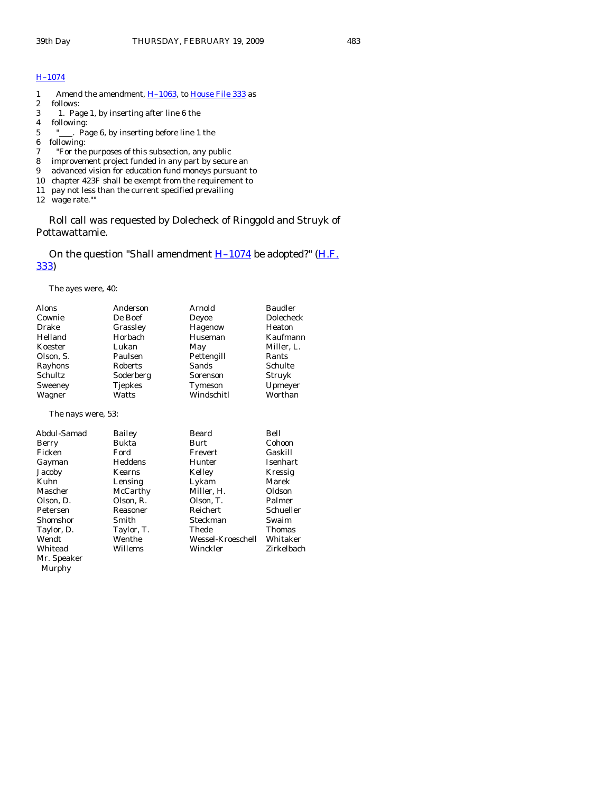# [H–1074](http://coolice.legis.state.ia.us/Cool-ICE/default.asp?Category=billinfo&Service=Billbook&frame=1&GA=83&hbill=H1074)

- 1 Amend the amendment, H-1063, to [House File 333](http://coolice.legis.state.ia.us/Cool-ICE/default.asp?Category=billinfo&Service=Billbook&frame=1&GA=83&hbill=HF333) as
- 2 follows:
- 3 1. Page 1, by inserting after line 6 the
- 4 following:
- "<sub>\_\_\_\_</sub>. Page 6, by inserting before line 1 the
- 6 following:
- 7 "For the purposes of this subsection, any public
- 8 improvement project funded in any part by secure an
- 9 advanced vision for education fund moneys pursuant to
- 10 chapter 423F shall be exempt from the requirement to
- 11 pay not less than the current specified prevailing
- 12 wage rate.""

 Roll call was requested by Dolecheck of Ringgold and Struyk of Pottawattamie.

On the question "Shall amendment  $H-1074$  be adopted?" ( $H.F.$ [333\)](http://coolice.legis.state.ia.us/Cool-ICE/default.asp?Category=billinfo&Service=Billbook&frame=1&GA=83&hbill=HF333)

The ayes were, 40:

| Alons<br>Cownie<br>Drake<br>Helland<br>Koester<br>Olson. S.<br>Rayhons<br><b>Schultz</b><br>Sweeney<br>Wagner | Anderson<br>De Boef<br>Grassley<br>Horbach<br>Lukan<br>Paulsen<br><b>Roberts</b><br>Soderberg<br><b>Tjepkes</b><br>Watts | Arnold<br>Deyoe<br>Hagenow<br>Huseman<br>May<br>Pettengill<br><b>Sands</b><br>Sorenson<br>Tymeson<br>Windschitl | <b>Baudler</b><br>Dolecheck<br>Heaton<br>Kaufmann<br>Miller, L.<br>Rants<br>Schulte<br>Struyk<br>Upmeyer<br>Worthan |
|---------------------------------------------------------------------------------------------------------------|--------------------------------------------------------------------------------------------------------------------------|-----------------------------------------------------------------------------------------------------------------|---------------------------------------------------------------------------------------------------------------------|
| The nays were, 53:                                                                                            |                                                                                                                          |                                                                                                                 |                                                                                                                     |
| Abdul-Samad                                                                                                   | Bailey                                                                                                                   | Beard                                                                                                           | Bell                                                                                                                |
| Berry                                                                                                         | Bukta                                                                                                                    | <b>Burt</b>                                                                                                     | Cohoon                                                                                                              |
| Ficken                                                                                                        | Ford                                                                                                                     | Frevert                                                                                                         | Gaskill                                                                                                             |
| Gayman                                                                                                        | <b>Heddens</b>                                                                                                           | Hunter                                                                                                          | Isenhart                                                                                                            |
| Jacoby                                                                                                        | Kearns                                                                                                                   | Kelley                                                                                                          | Kressig                                                                                                             |
| Kuhn                                                                                                          | Lensing                                                                                                                  | Lykam                                                                                                           | Marek                                                                                                               |
| Mascher                                                                                                       | McCarthy                                                                                                                 | Miller, H.                                                                                                      | Oldson                                                                                                              |
| Olson, D.                                                                                                     | Olson, R.                                                                                                                | Olson, T.                                                                                                       | Palmer                                                                                                              |
| Petersen                                                                                                      | Reasoner                                                                                                                 | <b>Reichert</b>                                                                                                 | Schueller                                                                                                           |
| Shomshor                                                                                                      | Smith                                                                                                                    | Steckman                                                                                                        | Swaim                                                                                                               |
| Taylor, D.                                                                                                    | Taylor, T.                                                                                                               | Thede                                                                                                           | Thomas                                                                                                              |
| Wendt                                                                                                         | Wenthe                                                                                                                   | Wessel-Kroeschell                                                                                               | Whitaker                                                                                                            |
| Whitead                                                                                                       | Willems                                                                                                                  | Winckler                                                                                                        | Zirkelbach                                                                                                          |
| Mr. Speaker                                                                                                   |                                                                                                                          |                                                                                                                 |                                                                                                                     |
| Murphy                                                                                                        |                                                                                                                          |                                                                                                                 |                                                                                                                     |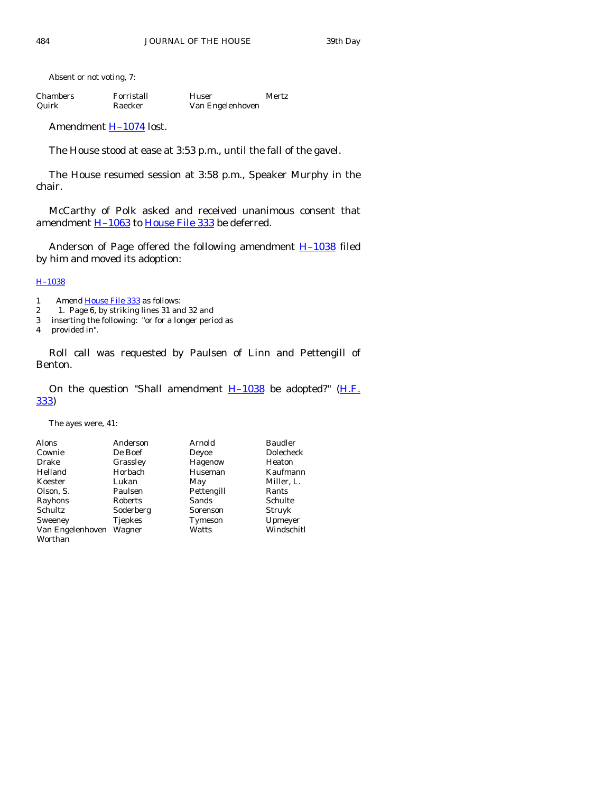Absent or not voting, 7:

| Chambers | Forristall | Huser            | Mertz |
|----------|------------|------------------|-------|
| Quirk    | Raecker    | Van Engelenhoven |       |

Amendment **H-1074** lost.

The House stood at ease at 3:53 p.m., until the fall of the gavel.

 The House resumed session at 3:58 p.m., Speaker Murphy in the chair.

 McCarthy of Polk asked and received unanimous consent that amendment H-1063 to [House File 333](http://coolice.legis.state.ia.us/Cool-ICE/default.asp?Category=billinfo&Service=Billbook&frame=1&GA=83&hbill=HF333) be deferred.

Anderson of Page offered the following amendment **H-1038** filed by him and moved its adoption:

# [H–1038](http://coolice.legis.state.ia.us/Cool-ICE/default.asp?Category=billinfo&Service=Billbook&frame=1&GA=83&hbill=H1038)

1 Amend [House File 333](http://coolice.legis.state.ia.us/Cool-ICE/default.asp?Category=billinfo&Service=Billbook&frame=1&GA=83&hbill=HF333) as follows:<br>2 1. Page 6. by striking lines 31 and

- 2 1. Page 6, by striking lines 31 and 32 and
- 3 inserting the following: "or for a longer period as
- 4 provided in".

 Roll call was requested by Paulsen of Linn and Pettengill of Benton.

On the question "Shall amendment  $H-1038$  be adopted?" (H.F. [333\)](http://coolice.legis.state.ia.us/Cool-ICE/default.asp?Category=billinfo&Service=Billbook&frame=1&GA=83&hbill=HF333)

The ayes were, 41:

| <b>Alons</b>     | Anderson       | Arnold       | <b>Baudler</b> |
|------------------|----------------|--------------|----------------|
| Cownie           | De Boef        | Devoe        | Dolecheck      |
| <b>Drake</b>     | Grassley       | Hagenow      | Heaton         |
| Helland          | Horbach        | Huseman      | Kaufmann       |
| Koester          | Lukan          | May          | Miller, L.     |
| Olson, S.        | Paulsen        | Pettengill   | Rants          |
| Rayhons          | Roberts        | <b>Sands</b> | Schulte        |
| Schultz          | Soderberg      | Sorenson     | Struyk         |
| Sweeney          | <b>Tjepkes</b> | Tymeson      | Upmeyer        |
| Van Engelenhoven | Wagner         | Watts        | Windschitl     |
| Worthan          |                |              |                |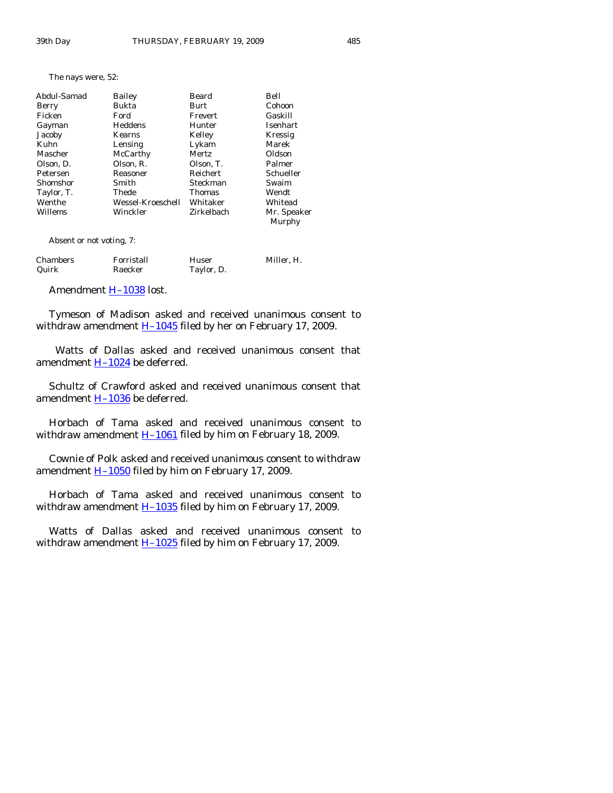The nays were, 52:

| Abdul-Samad | <b>Bailey</b>     | Beard         | Bell        |
|-------------|-------------------|---------------|-------------|
| Berry       | Bukta             | Burt          | Cohoon      |
| Ficken      | Ford              | Frevert       | Gaskill     |
| Gayman      | Heddens           | Hunter        | Isenhart    |
| Jacoby      | <b>Kearns</b>     | Kelley        | Kressig     |
| Kuhn        | Lensing           | Lykam         | Marek       |
| Mascher     | McCarthy          | Mertz         | Oldson      |
| Olson, D.   | Olson, R.         | Olson, T.     | Palmer      |
| Petersen    | Reasoner          | Reichert      | Schueller   |
| Shomshor    | Smith             | Steckman      | Swaim       |
| Taylor, T.  | Thede             | <b>Thomas</b> | Wendt       |
| Wenthe      | Wessel-Kroeschell | Whitaker      | Whitead     |
| Willems     | Winckler          | Zirkelbach    | Mr. Speaker |
|             |                   |               | Murphy      |

Absent or not voting, 7:

| Chambers | Forristall | Huser      | Miller, H. |
|----------|------------|------------|------------|
| Quirk    | Raecker    | Taylor, D. |            |

Amendment **H-1038** lost.

 Tymeson of Madison asked and received unanimous consent to withdraw amendment  $H-1045$  filed by her on February 17, 2009.

 Watts of Dallas asked and received unanimous consent that amendment  $H-1024$  be deferred.

 Schultz of Crawford asked and received unanimous consent that amendment  $H-1036$  be deferred.

 Horbach of Tama asked and received unanimous consent to withdraw amendment  $H-1061$  filed by him on February 18, 2009.

 Cownie of Polk asked and received unanimous consent to withdraw amendment  $H-1050$  filed by him on February 17, 2009.

 Horbach of Tama asked and received unanimous consent to withdraw amendment  $\underline{H-1035}$  filed by him on February 17, 2009.

 Watts of Dallas asked and received unanimous consent to withdraw amendment  $H-1025$  filed by him on February 17, 2009.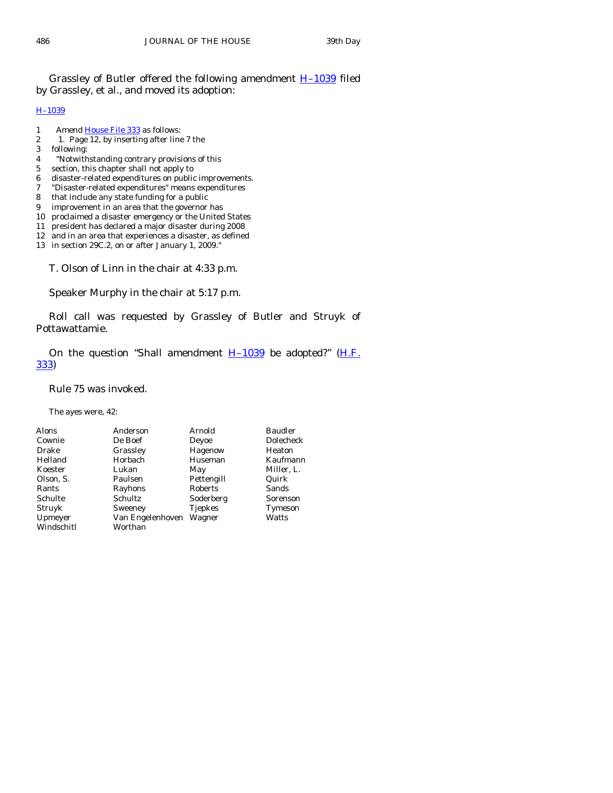Grassley of Butler offered the following amendment [H–1039](http://coolice.legis.state.ia.us/Cool-ICE/default.asp?Category=billinfo&Service=Billbook&frame=1&GA=83&hbill=H1039) filed by Grassley, et al., and moved its adoption:

#### [H–1039](http://coolice.legis.state.ia.us/Cool-ICE/default.asp?Category=billinfo&Service=Billbook&frame=1&GA=83&hbill=H1039)

- 1 Amend [House File 333](http://coolice.legis.state.ia.us/Cool-ICE/default.asp?Category=billinfo&Service=Billbook&frame=1&GA=83&hbill=HF333) as follows:
- 2 1. Page 12, by inserting after line 7 the
- 3 following:
- 4 "Notwithstanding contrary provisions of this
- 5 section, this chapter shall not apply to
- 6 disaster-related expenditures on public improvements.
- 7 "Disaster-related expenditures" means expenditures
- 8 that include any state funding for a public
- 9 improvement in an area that the governor has
- 10 proclaimed a disaster emergency or the United States
- 11 president has declared a major disaster during 2008
- 12 and in an area that experiences a disaster, as defined
- 13 in section 29C.2, on or after January 1, 2009."

T. Olson of Linn in the chair at 4:33 p.m.

Speaker Murphy in the chair at 5:17 p.m.

 Roll call was requested by Grassley of Butler and Struyk of Pottawattamie.

On the question "Shall amendment  $H-1039$  be adopted?" (*H.F.* [333\)](http://coolice.legis.state.ia.us/Cool-ICE/default.asp?Category=billinfo&Service=Billbook&frame=1&GA=83&hbill=HF333)

Rule 75 was invoked.

The ayes were, 42:

| <b>Alons</b> | Anderson         | Arnold         | <b>Baudler</b> |
|--------------|------------------|----------------|----------------|
| Cownie       | De Boef          | Deyoe          | Dolecheck      |
| Drake        | Grassley         | Hagenow        | Heaton         |
| Helland      | Horbach          | Huseman        | Kaufmann       |
| Koester      | Lukan            | May            | Miller, L.     |
| Olson, S.    | Paulsen          | Pettengill     | Quirk          |
| Rants        | Rayhons          | Roberts        | Sands          |
| Schulte      | Schultz          | Soderberg      | Sorenson       |
| Struyk       | Sweeney          | <b>Tjepkes</b> | Tymeson        |
| Upmeyer      | Van Engelenhoven | Wagner         | Watts          |
| Windschitl   | Worthan          |                |                |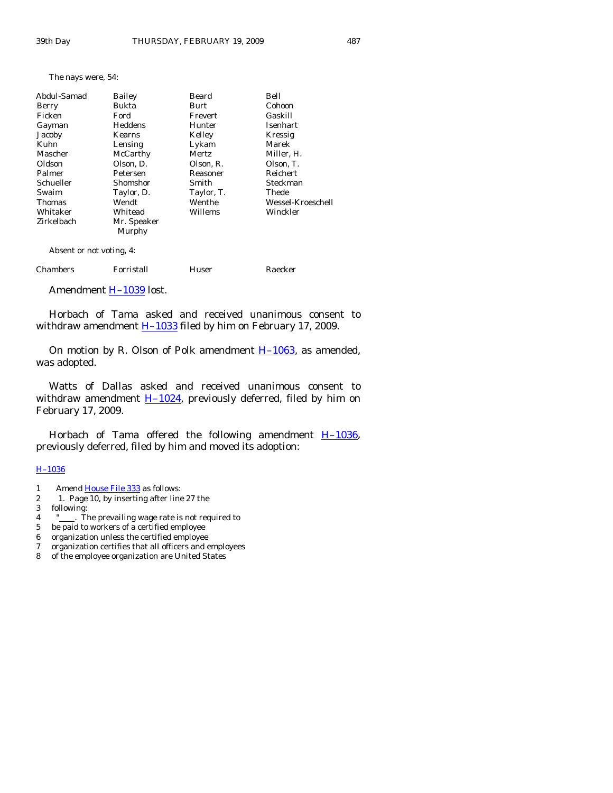| The nays were, 54: |  |
|--------------------|--|
|--------------------|--|

| Abdul-Samad              | Bailey      | Beard      | Bell              |
|--------------------------|-------------|------------|-------------------|
| Berry                    | Bukta       | Burt       | Cohoon            |
| Ficken                   | Ford        | Frevert    | Gaskill           |
| Gayman                   | Heddens     | Hunter     | Isenhart          |
| Jacoby                   | Kearns      | Kelley     | Kressig           |
| Kuhn                     | Lensing     | Lykam      | Marek             |
| Mascher                  | McCarthy    | Mertz      | Miller, H.        |
| Oldson                   | Olson, D.   | Olson. R.  | Olson. T.         |
| Palmer                   | Petersen    | Reasoner   | <b>Reichert</b>   |
| Schueller                | Shomshor    | Smith      | Steckman          |
| Swaim                    | Taylor, D.  | Taylor, T. | Thede             |
| Thomas                   | Wendt       | Wenthe     | Wessel-Kroeschell |
| Whitaker                 | Whitead     | Willems    | Winckler          |
| Zirkelbach               | Mr. Speaker |            |                   |
|                          | Murphy      |            |                   |
| Absent or not voting, 4: |             |            |                   |

| Chambers | Forristall | Huser | Raecker |
|----------|------------|-------|---------|
|          |            |       |         |

Amendment H-1039 lost.

 Horbach of Tama asked and received unanimous consent to withdraw amendment  $H-1033$  filed by him on February 17, 2009.

On motion by R. Olson of Polk amendment  $H-1063$ , as amended, was adopted.

 Watts of Dallas asked and received unanimous consent to withdraw amendment  $H-1024$ , previously deferred, filed by him on February 17, 2009.

Horbach of Tama offered the following amendment  $H-1036$ , previously deferred, filed by him and moved its adoption:

#### [H–1036](http://coolice.legis.state.ia.us/Cool-ICE/default.asp?Category=billinfo&Service=Billbook&frame=1&GA=83&hbill=H1036)

- 1 Amend [House File 333](http://coolice.legis.state.ia.us/Cool-ICE/default.asp?Category=billinfo&Service=Billbook&frame=1&GA=83&hbill=HF333) as follows:
- 2 1. Page 10, by inserting after line 27 the<br>3 following:
- following:
- 4 " . The prevailing wage rate is not required to
- 5 be paid to workers of a certified employee
- 6 organization unless the certified employee
- 7 organization certifies that all officers and employees
- of the employee organization are United States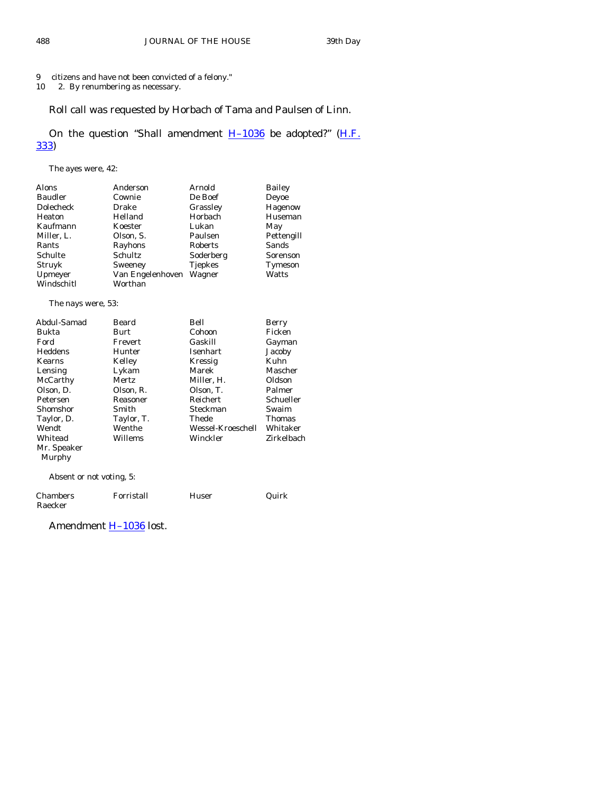9 citizens and have not been convicted of a felony."

10 2. By renumbering as necessary.

# Roll call was requested by Horbach of Tama and Paulsen of Linn.

On the question "Shall amendment  $H-1036$  be adopted?" ( $H.F.$ [333\)](http://coolice.legis.state.ia.us/Cool-ICE/default.asp?Category=billinfo&Service=Billbook&frame=1&GA=83&hbill=HF333)

The ayes were, 42:

| Alons                    | Anderson         | Arnold            | <b>Bailey</b> |
|--------------------------|------------------|-------------------|---------------|
| <b>Baudler</b>           | Cownie           | De Boef           | Deyoe         |
| Dolecheck                | Drake            | Grassley          | Hagenow       |
| Heaton                   | Helland          | Horbach           | Huseman       |
| Kaufmann                 | Koester          | Lukan             | May           |
| Miller, L.               | Olson, S.        | Paulsen           | Pettengill    |
| Rants                    | Rayhons          | Roberts           | Sands         |
| Schulte                  | Schultz          | Soderberg         | Sorenson      |
| Struyk                   | Sweeney          | Tjepkes           | Tymeson       |
| Upmeyer                  | Van Engelenhoven | Wagner            | Watts         |
| Windschitl               | Worthan          |                   |               |
| The nays were, 53:       |                  |                   |               |
|                          |                  |                   |               |
| Abdul-Samad              | Beard            | Bell              | Berry         |
| Bukta                    | Burt             | Cohoon            | Ficken        |
| Ford                     | Frevert          | Gaskill           | Gayman        |
| Heddens                  | Hunter           | Isenhart          | Jacoby        |
| Kearns                   | Kelley           | Kressig           | Kuhn          |
| Lensing                  | Lykam            | Marek             | Mascher       |
| McCarthy                 | <b>Mertz</b>     | Miller, H.        | Oldson        |
| Olson, D.                | Olson, R.        | Olson, T.         | Palmer        |
| Petersen                 | Reasoner         | Reichert          | Schueller     |
| Shomshor                 | Smith            | Steckman          | Swaim         |
| Taylor, D.               | Taylor, T.       | Thede             | Thomas        |
| Wendt                    | Wenthe           | Wessel-Kroeschell | Whitaker      |
| Whitead                  | Willems          | Winckler          | Zirkelbach    |
| Mr. Speaker              |                  |                   |               |
| Murphy                   |                  |                   |               |
| Absent or not voting, 5: |                  |                   |               |

| Chambers | Forristall | Huser | Quirk |
|----------|------------|-------|-------|
| Raecker  |            |       |       |

Amendment **H-1036** lost.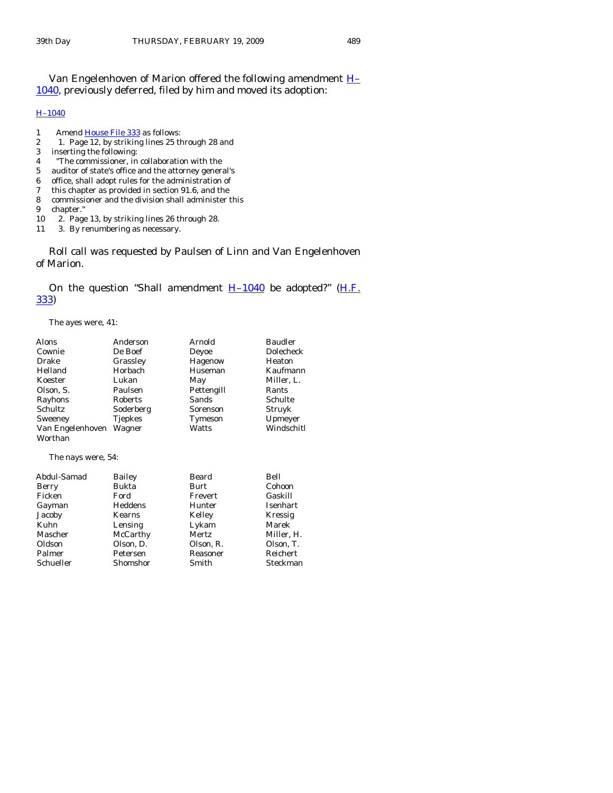Van Engelenhoven of Marion offered the following amendment [H–](http://coolice.legis.state.ia.us/Cool-ICE/default.asp?Category=billinfo&Service=Billbook&frame=1&GA=83&hbill=H1040) [1040](http://coolice.legis.state.ia.us/Cool-ICE/default.asp?Category=billinfo&Service=Billbook&frame=1&GA=83&hbill=H1040), previously deferred, filed by him and moved its adoption:

#### [H–1040](http://coolice.legis.state.ia.us/Cool-ICE/default.asp?Category=billinfo&Service=Billbook&frame=1&GA=83&hbill=H1040)

- 1 Amend [House File 333](http://coolice.legis.state.ia.us/Cool-ICE/default.asp?Category=billinfo&Service=Billbook&frame=1&GA=83&hbill=HF333) as follows:<br>2 1. Page 12, by striking lines 25 th
- 2 1. Page 12, by striking lines 25 through 28 and
- 3 inserting the following:
- 4 "The commissioner, in collaboration with the
- 5 auditor of state's office and the attorney general's
- office, shall adopt rules for the administration of
- 7 this chapter as provided in section 91.6, and the
- 8 commissioner and the division shall administer this
- 9 chapter."
- 10 2. Page 13, by striking lines 26 through 28.
- 11 3. By renumbering as necessary.

 Roll call was requested by Paulsen of Linn and Van Engelenhoven of Marion.

On the question "Shall amendment  $H-1040$  be adopted?" ( $H.F.$ [333\)](http://coolice.legis.state.ia.us/Cool-ICE/default.asp?Category=billinfo&Service=Billbook&frame=1&GA=83&hbill=HF333)

The ayes were, 41:

| Alons              | Anderson  | Arnold      | <b>Baudler</b> |
|--------------------|-----------|-------------|----------------|
| Cownie             | De Boef   | Deyoe       | Dolecheck      |
| Drake              | Grassley  | Hagenow     | Heaton         |
| Helland            | Horbach   | Huseman     | Kaufmann       |
| Koester            | Lukan     | May         | Miller, L.     |
| Olson, S.          | Paulsen   | Pettengill  | Rants          |
| Rayhons            | Roberts   | Sands       | Schulte        |
| Schultz            | Soderberg | Sorenson    | Struyk         |
| Sweeney            | Tjepkes   | Tymeson     | Upmeyer        |
| Van Engelenhoven   | Wagner    | Watts       | Windschitl     |
| Worthan            |           |             |                |
| The nays were, 54: |           |             |                |
| Abdul-Samad        | Bailey    | Beard       | Bell           |
| Berry              | Bukta     | <b>Burt</b> | Cohoon         |
| Ficken             | Ford      | Frevert     | Gaskill        |
| Gayman             | Heddens   | Hunter      | Isenhart       |
| Jacoby             | Kearns    | Kelley      | Kressig        |
| Kuhn               | Lensing   | Lykam       | Marek          |
| Mascher            | McCarthy  | Mertz       | Miller, H.     |
| Oldson             | Olson, D. | Olson, R.   | Olson, T.      |
| Palmer             | Petersen  | Reasoner    | Reichert       |
| Schueller          | Shomshor  | Smith       | Steckman       |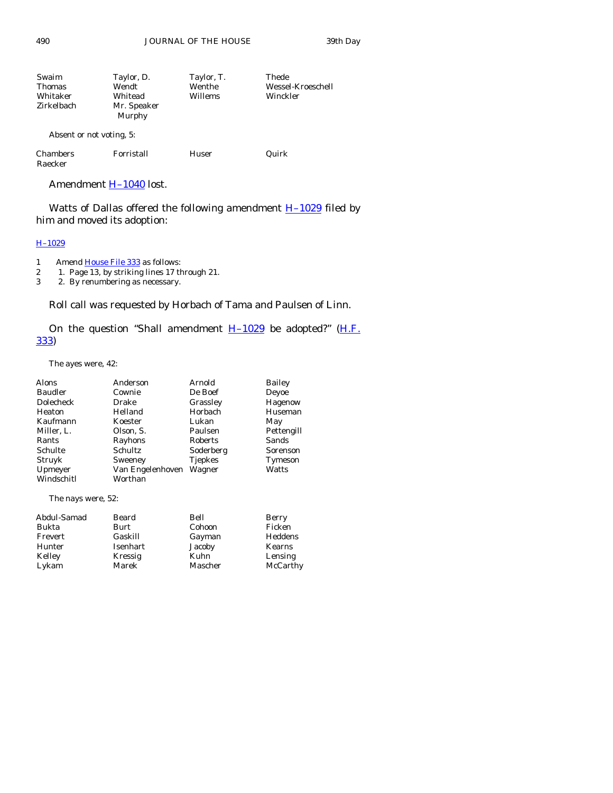490 JOURNAL OF THE HOUSE 39th Day

| Swaim<br><b>Thomas</b><br>Whitaker<br>Zirkelbach | Taylor, D.<br>Wendt<br>Whitead<br>Mr. Speaker<br>Murphy | Taylor, T.<br>Wenthe<br>Willems | Thede<br>Wessel-Kroeschell<br>Winckler |
|--------------------------------------------------|---------------------------------------------------------|---------------------------------|----------------------------------------|
| Absent or not voting, 5:                         |                                                         |                                 |                                        |
| <b>Chambers</b><br>Raecker                       | Forristall                                              | Huser                           | Quirk                                  |

Amendment [H–1040](http://coolice.legis.state.ia.us/Cool-ICE/default.asp?Category=billinfo&Service=Billbook&frame=1&GA=83&hbill=H1040) lost.

Watts of Dallas offered the following amendment  $H-1029$  filed by him and moved its adoption:

# [H–1029](http://coolice.legis.state.ia.us/Cool-ICE/default.asp?Category=billinfo&Service=Billbook&frame=1&GA=83&hbill=H1029)

1 Amend [House File 333](http://coolice.legis.state.ia.us/Cool-ICE/default.asp?Category=billinfo&Service=Billbook&frame=1&GA=83&hbill=HF333) as follows:

2 1. Page 13, by striking lines 17 through 21.<br>
2. By renumbering as necessary.

2. By renumbering as necessary.

Roll call was requested by Horbach of Tama and Paulsen of Linn.

On the question "Shall amendment  $H-1029$  be adopted?" ( $H.F.$ [333\)](http://coolice.legis.state.ia.us/Cool-ICE/default.asp?Category=billinfo&Service=Billbook&frame=1&GA=83&hbill=HF333)

The ayes were, 42:

| Alons            | Anderson         | Arnold         | <b>Bailey</b> |
|------------------|------------------|----------------|---------------|
| Baudler          | Cownie           | De Boef        | Deyoe         |
| <b>Dolecheck</b> | Drake            | Grassley       | Hagenow       |
| Heaton           | Helland          | Horbach        | Huseman       |
| Kaufmann         | Koester          | Lukan          | May           |
| Miller, L.       | Olson, S.        | Paulsen        | Pettengill    |
| Rants            | Rayhons          | Roberts        | Sands         |
| Schulte          | Schultz          | Soderberg      | Sorenson      |
| Struyk           | Sweeney          | <b>Tjepkes</b> | Tymeson       |
| Upmeyer          | Van Engelenhoven | Wagner         | Watts         |
| Windschitl       | Worthan          |                |               |

The nays were, 52:

| Abdul-Samad | Beard    | Bell    | Berry    |
|-------------|----------|---------|----------|
| Bukta       | Burt     | Cohoon  | Ficken   |
| Frevert     | Gaskill  | Gayman  | Heddens  |
| Hunter      | Isenhart | Jacoby  | Kearns   |
| Kelley      | Kressig  | Kuhn    | Lensing  |
| Lykam       | Marek    | Mascher | McCarthy |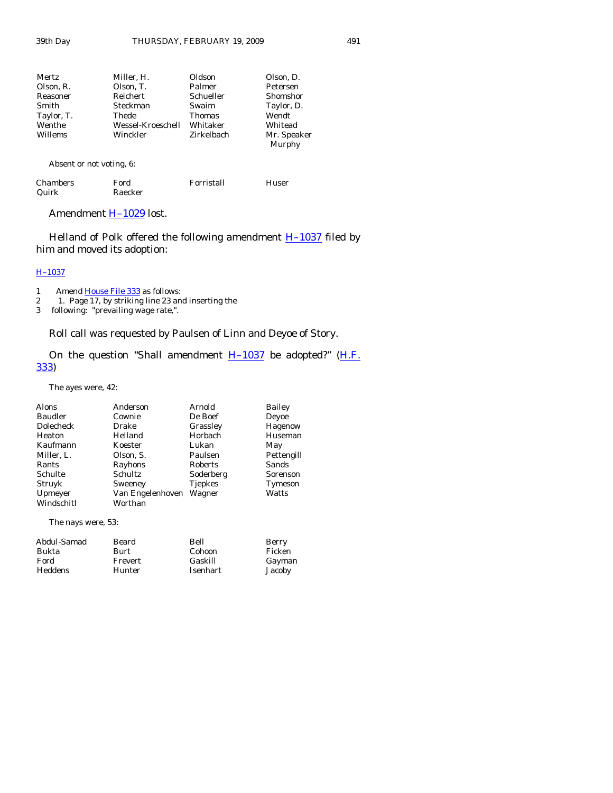| Mertz      | Miller, H.        | Oldson        | Olson, D.             |
|------------|-------------------|---------------|-----------------------|
| Olson, R.  | Olson, T.         | Palmer        | Petersen              |
| Reasoner   | Reichert          | Schueller     | Shomshor              |
| Smith      | Steckman          | Swaim         | Taylor, D.            |
| Taylor, T. | Thede             | <b>Thomas</b> | Wendt                 |
| Wenthe     | Wessel-Kroeschell | Whitaker      | Whitead               |
| Willems    | Winckler          | Zirkelbach    | Mr. Speaker<br>Murphy |
|            |                   |               |                       |

Absent or not voting, 6:

| Chambers | Ford    | Forristall | Huser |
|----------|---------|------------|-------|
| Quirk    | Raecker |            |       |

Amendment **H-1029** lost.

Helland of Polk offered the following amendment  $H-1037$  filed by him and moved its adoption:

#### [H–1037](http://coolice.legis.state.ia.us/Cool-ICE/default.asp?Category=billinfo&Service=Billbook&frame=1&GA=83&hbill=H1037)

- 1 Amend [House File 333](http://coolice.legis.state.ia.us/Cool-ICE/default.asp?Category=billinfo&Service=Billbook&frame=1&GA=83&hbill=HF333) as follows:
- 2 1. Page 17, by striking line 23 and inserting the
- 3 following: "prevailing wage rate,".

Roll call was requested by Paulsen of Linn and Deyoe of Story.

On the question "Shall amendment  $H-1037$  be adopted?" ( $H.F.$ [333\)](http://coolice.legis.state.ia.us/Cool-ICE/default.asp?Category=billinfo&Service=Billbook&frame=1&GA=83&hbill=HF333)

The ayes were, 42:

| Anderson         | Arnold         | <b>Bailey</b> |
|------------------|----------------|---------------|
| Cownie           | De Boef        | Deyoe         |
| Drake            | Grassley       | Hagenow       |
| Helland          | Horbach        | Huseman       |
| Koester          | Lukan          | May           |
| Olson, S.        | Paulsen        | Pettengill    |
| Rayhons          | Roberts        | Sands         |
| Schultz          | Soderberg      | Sorenson      |
| Sweeney          | <b>Tjepkes</b> | Tymeson       |
| Van Engelenhoven | Wagner         | Watts         |
| Worthan          |                |               |
|                  |                |               |
|                  |                |               |

The nays were, 53:

| Berry  |
|--------|
| Ficken |
| Gayman |
| Jacoby |
|        |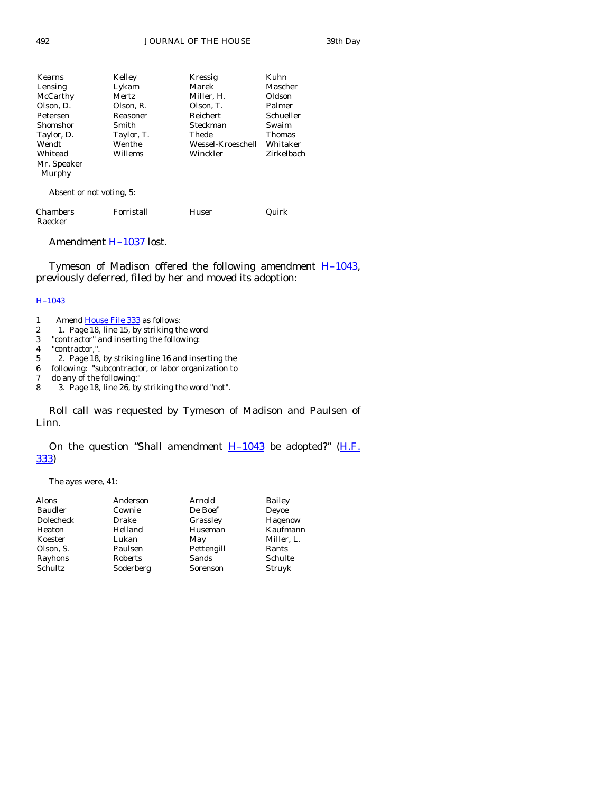| Kearns      | Kelley     | Kressig           | Kuhn          |
|-------------|------------|-------------------|---------------|
| Lensing     | Lykam      | Marek             | Mascher       |
| McCarthy    | Mertz      | Miller, H.        | Oldson        |
| Olson, D.   | Olson, R.  | Olson, T.         | Palmer        |
| Petersen    | Reasoner   | Reichert          | Schueller     |
| Shomshor    | Smith      | Steckman          | Swaim         |
| Taylor, D.  | Taylor, T. | Thede             | <b>Thomas</b> |
| Wendt       | Wenthe     | Wessel-Kroeschell | Whitaker      |
| Whitead     | Willems    | Winckler          | Zirkelbach    |
| Mr. Speaker |            |                   |               |
| Murphy      |            |                   |               |
|             |            |                   |               |

Absent or not voting, 5:

| <b>Chambers</b> | Forristall | Huser | Quirk |
|-----------------|------------|-------|-------|
| Raecker         |            |       |       |

Amendment [H–1037](http://coolice.legis.state.ia.us/Cool-ICE/default.asp?Category=billinfo&Service=Billbook&frame=1&GA=83&hbill=H1037) lost.

Tymeson of Madison offered the following amendment  $H-1043$ , previously deferred, filed by her and moved its adoption:

#### [H–1043](http://coolice.legis.state.ia.us/Cool-ICE/default.asp?Category=billinfo&Service=Billbook&frame=1&GA=83&hbill=H1043)

- 1 Amend [House File 333](http://coolice.legis.state.ia.us/Cool-ICE/default.asp?Category=billinfo&Service=Billbook&frame=1&GA=83&hbill=HF333) as follows:
- 2 1. Page 18, line 15, by striking the word
- 3 "contractor" and inserting the following:
- 4 "contractor,".
- 5 2. Page 18, by striking line 16 and inserting the<br>6 following: "subcontractor, or labor organization to
- following: "subcontractor, or labor organization to
- 7 do any of the following:"
- 8 3. Page 18, line 26, by striking the word "not".

 Roll call was requested by Tymeson of Madison and Paulsen of Linn.

# On the question "Shall amendment  $H-1043$  be adopted?" (H.F. [333\)](http://coolice.legis.state.ia.us/Cool-ICE/default.asp?Category=billinfo&Service=Billbook&frame=1&GA=83&hbill=HF333)

The ayes were, 41:

| Alons          | Anderson  | Arnold     | <b>Bailey</b> |
|----------------|-----------|------------|---------------|
| <b>Baudler</b> | Cownie    | De Boef    | Deyoe         |
| Dolecheck      | Drake     | Grassley   | Hagenow       |
| Heaton         | Helland   | Huseman    | Kaufmann      |
| Koester        | Lukan     | May        | Miller, L.    |
| Olson, S.      | Paulsen   | Pettengill | Rants         |
| Rayhons        | Roberts   | Sands      | Schulte       |
| Schultz        | Soderberg | Sorenson   | Struyk        |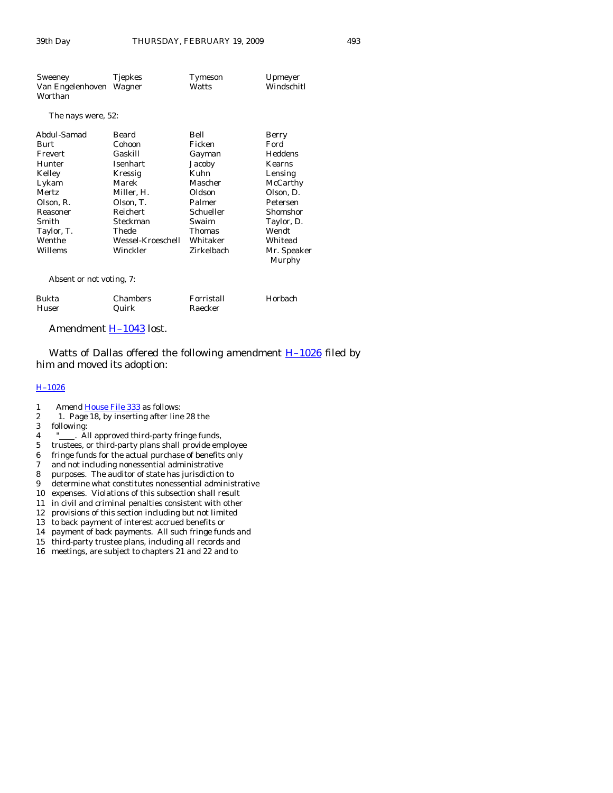| Sweeney<br>Van Engelenhoven Wagner<br>Worthan | Tjepkes | Tymeson<br>Watts | Upmeyer<br>Windschitl         |
|-----------------------------------------------|---------|------------------|-------------------------------|
| The nays were, 52:                            |         |                  |                               |
| Abdul Samad                                   | Roard   | <b>B</b> oll     | $\mathbf{R}_{\mathbf{OPT}^I}$ |

| Abuul-Saillau | реаги             | рен           | Delly                 |
|---------------|-------------------|---------------|-----------------------|
| Burt          | Cohoon            | Ficken        | Ford                  |
| Frevert       | Gaskill           | Gayman        | Heddens               |
| Hunter        | Isenhart          | Jacoby        | <b>Kearns</b>         |
| Kelley        | Kressig           | Kuhn          | Lensing               |
| Lykam         | Marek             | Mascher       | McCarthy              |
| Mertz         | Miller, H.        | Oldson        | Olson, D.             |
| Olson, R.     | Olson, T.         | Palmer        | Petersen              |
| Reasoner      | Reichert          | Schueller     | Shomshor              |
| Smith         | Steckman          | Swaim         | Taylor, D.            |
| Taylor, T.    | Thede             | <b>Thomas</b> | Wendt                 |
| Wenthe        | Wessel-Kroeschell | Whitaker      | Whitead               |
| Willems       | Winckler          | Zirkelbach    | Mr. Speaker<br>Murphy |
|               |                   |               |                       |

Absent or not voting, 7:

| Bukta | Chambers | Forristall | Horbach |
|-------|----------|------------|---------|
| Huser | Quirk    | Raecker    |         |

# Amendment **H-1043** lost.

Watts of Dallas offered the following amendment  $H-1026$  filed by him and moved its adoption:

#### [H–1026](http://coolice.legis.state.ia.us/Cool-ICE/default.asp?Category=billinfo&Service=Billbook&frame=1&GA=83&hbill=H1026)

- 1 Amend [House File 333](http://coolice.legis.state.ia.us/Cool-ICE/default.asp?Category=billinfo&Service=Billbook&frame=1&GA=83&hbill=HF333) as follows:<br>2 1. Page 18, by inserting after line
- 2 1. Page 18, by inserting after line 28 the<br>3 following:
- following:
- 4 "
... All approved third-party fringe funds,
- 5 trustees, or third-party plans shall provide employee
- 6 fringe funds for the actual purchase of benefits only
- 7 and not including nonessential administrative
- 8 purposes. The auditor of state has jurisdiction to
- 9 determine what constitutes nonessential administrative
- 10 expenses. Violations of this subsection shall result
- 11 in civil and criminal penalties consistent with other
- 12 provisions of this section including but not limited
- 13 to back payment of interest accrued benefits or
- 14 payment of back payments. All such fringe funds and
- 15 third-party trustee plans, including all records and
- 16 meetings, are subject to chapters 21 and 22 and to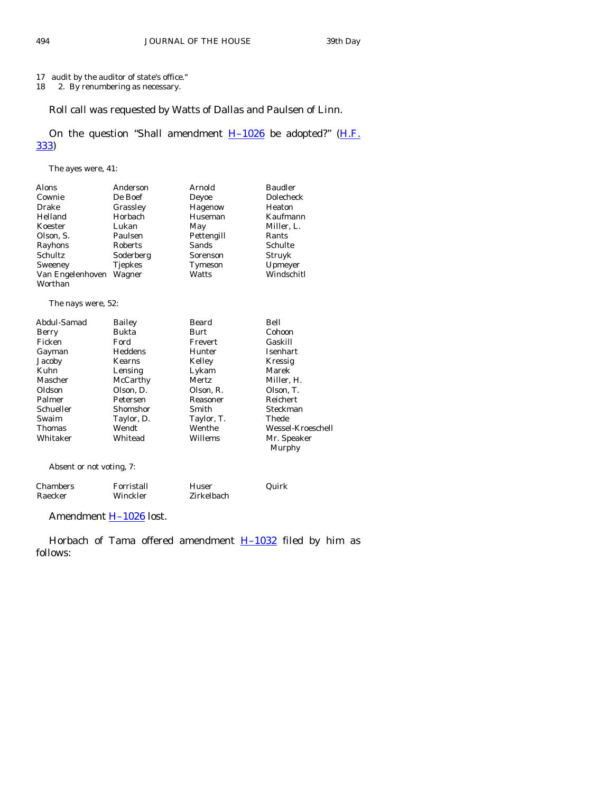# 17 audit by the auditor of state's office."

18 2. By renumbering as necessary.

# Roll call was requested by Watts of Dallas and Paulsen of Linn.

# On the question "Shall amendment  $H-1026$  be adopted?" (H.F. [333\)](http://coolice.legis.state.ia.us/Cool-ICE/default.asp?Category=billinfo&Service=Billbook&frame=1&GA=83&hbill=HF333)

The ayes were, 41:

| Alons              | Anderson       | Arnold     | <b>Baudler</b>        |
|--------------------|----------------|------------|-----------------------|
| Cownie             | De Boef        | Deyoe      | Dolecheck             |
| Drake              | Grassley       | Hagenow    | Heaton                |
| Helland            | <b>Horbach</b> | Huseman    | Kaufmann              |
| Koester            | Lukan          | May        | Miller, L.            |
| Olson, S.          | Paulsen        | Pettengill | Rants                 |
| Rayhons            | Roberts        | Sands      | Schulte               |
| Schultz            | Soderberg      | Sorenson   | Struyk                |
| Sweeney            | <b>Tjepkes</b> | Tymeson    | Upmeyer               |
| Van Engelenhoven   | Wagner         | Watts      | Windschitl            |
| Worthan            |                |            |                       |
| The nays were, 52: |                |            |                       |
| Abdul-Samad        | Bailey         | Beard      | Bell                  |
| Berry              | Bukta          | Burt       | Cohoon                |
| Ficken             | Ford           | Frevert    | Gaskill               |
| Gayman             | Heddens        | Hunter     | <b>Isenhart</b>       |
| Jacoby             | Kearns         | Kelley     | Kressig               |
| Kuhn               | Lensing        | Lykam      | Marek                 |
| Mascher            | McCarthy       | Mertz      | Miller, H.            |
| Oldson             | Olson, D.      | Olson, R.  | Olson, T.             |
| Palmer             | Petersen       | Reasoner   | Reichert              |
| Schueller          | Shomshor       | Smith      | Steckman              |
| Swaim              | Taylor, D.     | Taylor, T. | Thede                 |
| Thomas             | Wendt          | Wenthe     | Wessel-Kroeschell     |
| Whitaker           | Whitead        | Willems    | Mr. Speaker<br>Murphy |
|                    |                |            |                       |

Absent or not voting, 7:

| Chambers | Forristall | Huser      | Quirk |
|----------|------------|------------|-------|
| Raecker  | Winckler   | Zirkelbach |       |

Amendment **H-1026** lost.

Horbach of Tama offered amendment  $H-1032$  filed by him as follows: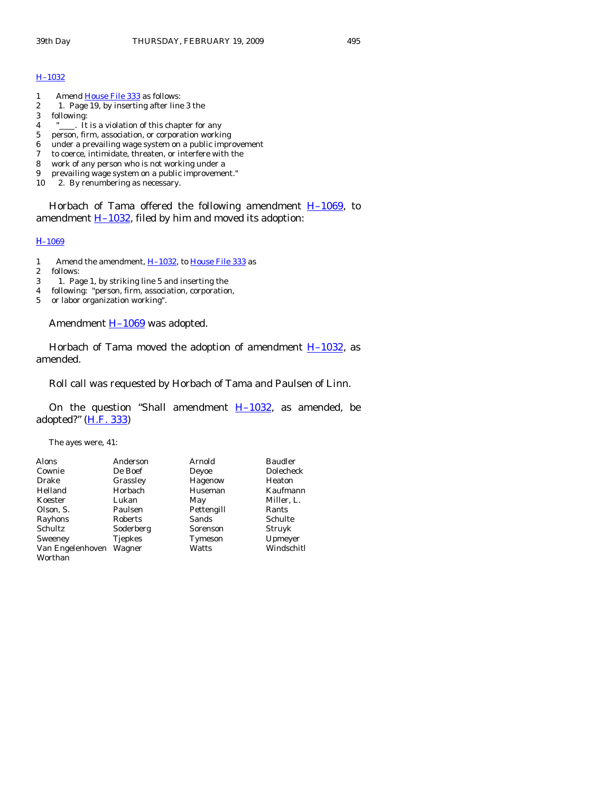#### [H–1032](http://coolice.legis.state.ia.us/Cool-ICE/default.asp?Category=billinfo&Service=Billbook&frame=1&GA=83&hbill=H1032)

- 1 Amend [House File 333](http://coolice.legis.state.ia.us/Cool-ICE/default.asp?Category=billinfo&Service=Billbook&frame=1&GA=83&hbill=HF333) as follows:
- 2 1. Page 19, by inserting after line 3 the
- 3 following:
- 4 "\_\_\_\_. It is a violation of this chapter for any
- 5 person, firm, association, or corporation working
- 6 under a prevailing wage system on a public improvement  $\tau$  to coerce, intimidate, threaten, or interfere with the
- to coerce, intimidate, threaten, or interfere with the
- 8 work of any person who is not working under a
- 9 prevailing wage system on a public improvement."
- 10 2. By renumbering as necessary.

Horbach of Tama offered the following amendment  $H-1069$ , to amendment  $H-1032$ , filed by him and moved its adoption:

#### [H](http://coolice.legis.state.ia.us/Cool-ICE/default.asp?Category=billinfo&Service=Billbook&frame=1&GA=83&hbill=H1069)[–1069](http://coolice.legis.state.ia.us/Cool-ICE/default.asp?Category=billinfo&Service=Billbook&frame=1&GA=83&hbill=H1069)

- 1 Amend the amendment, [H–1032](http://coolice.legis.state.ia.us/Cool-ICE/default.asp?Category=billinfo&Service=Billbook&frame=1&GA=83&hbill=H1032), to [House File 333](http://coolice.legis.state.ia.us/Cool-ICE/default.asp?Category=billinfo&Service=Billbook&frame=1&GA=83&hbill=HF333) as
- 2 follows:<br>3 1. Pas
- 3 1. Page 1, by striking line 5 and inserting the
- 4 following: "person, firm, association, corporation,
- 5 or labor organization working".

Amendment H-1069 was adopted.

Horbach of Tama moved the adoption of amendment  $H-1032$ , as amended.

Roll call was requested by Horbach of Tama and Paulsen of Linn.

On the question "Shall amendment  $H-1032$ , as amended, be adopted?" [\(H.F. 333](http://coolice.legis.state.ia.us/Cool-ICE/default.asp?Category=billinfo&Service=Billbook&frame=1&GA=83&hbill=HF333))

The ayes were, 41:

| Alons            | Anderson       | Arnold     | <b>Baudler</b> |
|------------------|----------------|------------|----------------|
| Cownie           | De Boef        | Deyoe      | Dolecheck      |
| Drake            | Grassley       | Hagenow    | Heaton         |
| Helland          | Horbach        | Huseman    | Kaufmann       |
| Koester          | Lukan          | May        | Miller, L.     |
| Olson, S.        | Paulsen        | Pettengill | Rants          |
| Rayhons          | Roberts        | Sands      | Schulte        |
| Schultz          | Soderberg      | Sorenson   | Struyk         |
| Sweeney          | <b>Tjepkes</b> | Tymeson    | Upmeyer        |
| Van Engelenhoven | Wagner         | Watts      | Windschitl     |
| Worthan          |                |            |                |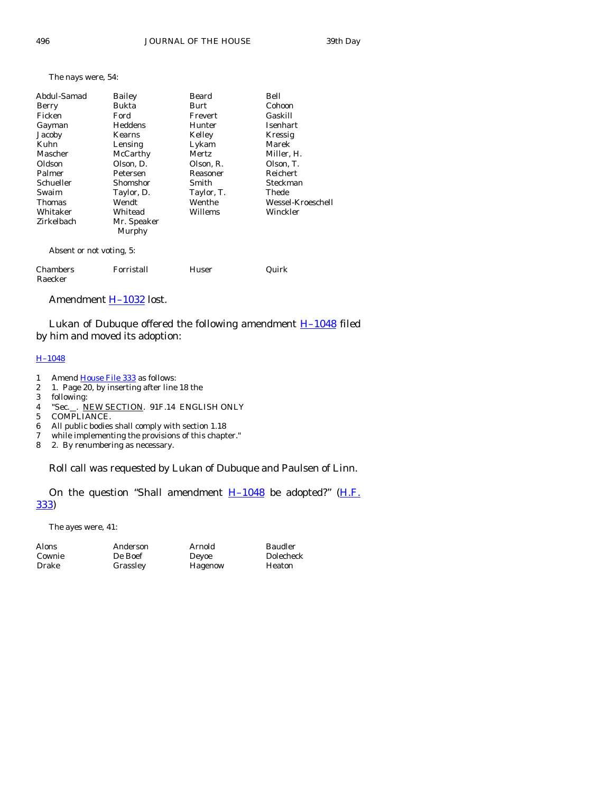#### The nays were, 54:

| Abdul-Samad              | Bailey                | Beard      | Bell              |
|--------------------------|-----------------------|------------|-------------------|
| Berry                    | Bukta                 | Burt       | Cohoon            |
| Ficken                   | Ford                  | Frevert    | Gaskill           |
| Gayman                   | Heddens               | Hunter     | Isenhart          |
| Jacoby                   | Kearns                | Kelley     | Kressig           |
| Kuhn                     | Lensing               | Lykam      | Marek             |
| Mascher                  | McCarthy              | Mertz      | Miller, H.        |
| Oldson                   | Olson, D.             | Olson, R.  | Olson, T.         |
| Palmer                   | Petersen              | Reasoner   | Reichert          |
| Schueller                | Shomshor              | Smith      | Steckman          |
| Swaim                    | Taylor, D.            | Taylor, T. | Thede             |
| Thomas                   | Wendt                 | Wenthe     | Wessel-Kroeschell |
| Whitaker                 | Whitead               | Willems    | Winckler          |
| Zirkelbach               | Mr. Speaker<br>Murphy |            |                   |
| Absent or not voting, 5: |                       |            |                   |
| Chambers<br>Raecker      | Forristall            | Huser      | Quirk             |

#### Amendment H-1032 lost.

Lukan of Dubuque offered the following amendment **H-1048** filed by him and moved its adoption:

#### [H–1048](http://coolice.legis.state.ia.us/Cool-ICE/default.asp?Category=billinfo&Service=Billbook&frame=1&GA=83&hbill=H1048)

- 1 Amend [House File 333](http://coolice.legis.state.ia.us/Cool-ICE/default.asp?Category=billinfo&Service=Billbook&frame=1&GA=83&hbill=HF333) as follows:
- 2 1. Page 20, by inserting after line 18 the
- 3 following:
- 4 "Sec.\_\_. NEW SECTION. 91F.14 ENGLISH ONLY
- 5 COMPLIANCE.
- 6 All public bodies shall comply with section 1.18
- 7 while implementing the provisions of this chapter."<br>8 2. By renumbering as necessary.
- 2. By renumbering as necessary.

Roll call was requested by Lukan of Dubuque and Paulsen of Linn.

On the question "Shall amendment  $H-1048$  be adopted?" ( $H.F.$ [333\)](http://coolice.legis.state.ia.us/Cool-ICE/default.asp?Category=billinfo&Service=Billbook&frame=1&GA=83&hbill=HF333)

The ayes were, 41:

Anderson Arnold Baudler<br>
De Boef Deyoe Dolechee Grassley Hagenow Heaton

Dolecheck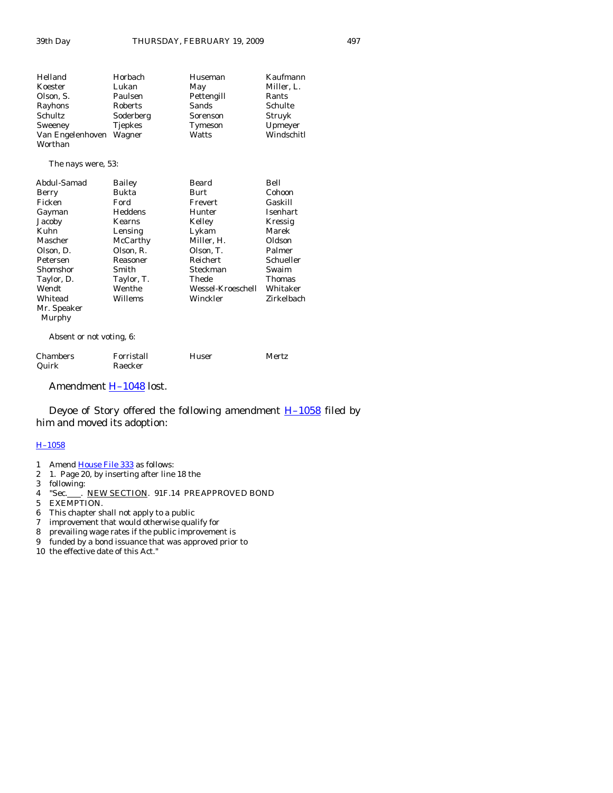#### The nays were, 53:

| Abdul-Samad | Bailey     | Beard             | Bell       |
|-------------|------------|-------------------|------------|
| Berry       | Bukta      | Burt              | Cohoon     |
| Ficken      | Ford       | Frevert           | Gaskill    |
| Gayman      | Heddens    | Hunter            | Isenhart   |
| Jacoby      | Kearns     | Kelley            | Kressig    |
| Kuhn        | Lensing    | Lykam             | Marek      |
| Mascher     | McCarthy   | Miller, H.        | Oldson     |
| Olson, D.   | Olson, R.  | Olson, T.         | Palmer     |
| Petersen    | Reasoner   | Reichert          | Schueller  |
| Shomshor    | Smith      | Steckman          | Swaim      |
| Taylor, D.  | Taylor, T. | Thede             | Thomas     |
| Wendt       | Wenthe     | Wessel-Kroeschell | Whitaker   |
| Whitead     | Willems    | Winckler          | Zirkelbach |
| Mr. Speaker |            |                   |            |
| Murphy      |            |                   |            |

Absent or not voting, 6:

| <b>Chambers</b> | Forristall | Huser | Mertz |
|-----------------|------------|-------|-------|
| Quirk           | Raecker    |       |       |

Amendment [H–1048](http://coolice.legis.state.ia.us/Cool-ICE/default.asp?Category=billinfo&Service=Billbook&frame=1&GA=83&hbill=H1048) lost.

Deyoe of Story offered the following amendment  $H-1058$  filed by him and moved its adoption:

### [H–1058](http://coolice.legis.state.ia.us/Cool-ICE/default.asp?Category=billinfo&Service=Billbook&frame=1&GA=83&hbill=H1058)

- 1 Amend <u>[House File 333](http://coolice.legis.state.ia.us/Cool-ICE/default.asp?Category=billinfo&Service=Billbook&frame=1&GA=83&hbill=HF333)</u> as follows:<br>2 1. Page 20, by inserting after line
- 1. Page 20, by inserting after line 18 the
- 3 following:
- 4 "Sec. FEW SECTION. 91F.14 PREAPPROVED BOND
- 5 EXEMPTION.
- 6 This chapter shall not apply to a public
- 7 improvement that would otherwise qualify for
- 8 prevailing wage rates if the public improvement is
- 9 funded by a bond issuance that was approved prior to

10 the effective date of this Act."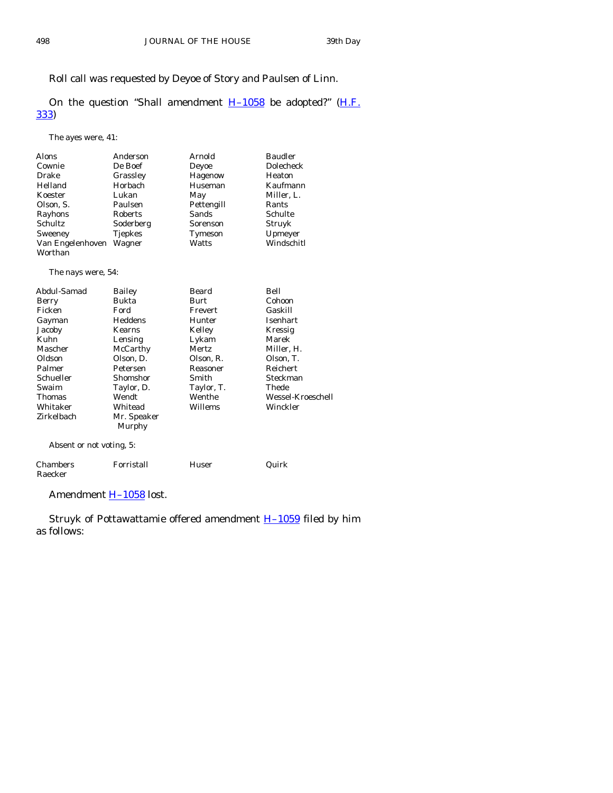Roll call was requested by Deyoe of Story and Paulsen of Linn.

On the question "Shall amendment  $H-1058$  be adopted?" ( $H.F.$ [333\)](http://coolice.legis.state.ia.us/Cool-ICE/default.asp?Category=billinfo&Service=Billbook&frame=1&GA=83&hbill=HF333)

The ayes were, 41:

| Alons              | Anderson    | Arnold     | <b>Baudler</b>    |
|--------------------|-------------|------------|-------------------|
| Cownie             | De Boef     | Deyoe      | Dolecheck         |
| Drake              | Grassley    | Hagenow    | Heaton            |
| Helland            | Horbach     | Huseman    | Kaufmann          |
| Koester            | Lukan       | May        | Miller, L.        |
| Olson, S.          | Paulsen     | Pettengill | Rants             |
| Rayhons            | Roberts     | Sands      | Schulte           |
| Schultz            | Soderberg   | Sorenson   | Struyk            |
| Sweeney            | Tjepkes     | Tymeson    | Upmeyer           |
| Van Engelenhoven   | Wagner      | Watts      | Windschitl        |
| Worthan            |             |            |                   |
| The nays were, 54: |             |            |                   |
| Abdul-Samad        | Bailey      | Beard      | Bell              |
| Berry              | Bukta       | Burt       | Cohoon            |
| Ficken             | Ford        | Frevert    | Gaskill           |
| Gayman             | Heddens     | Hunter     | Isenhart          |
| Jacoby             | Kearns      | Kelley     | Kressig           |
| Kuhn               | Lensing     | Lykam      | Marek             |
| Mascher            | McCarthy    | Mertz      | Miller, H.        |
| Oldson             | Olson, D.   | Olson, R.  | Olson, T.         |
| Palmer             | Petersen    | Reasoner   | <b>Reichert</b>   |
| Schueller          | Shomshor    | Smith      | Steckman          |
| Swaim              | Taylor, D.  | Taylor, T. | Thede             |
| Thomas             | Wendt       | Wenthe     | Wessel-Kroeschell |
| Whitaker           | Whitead     | Willems    | Winckler          |
| Zirkelbach         | Mr. Speaker |            |                   |

Absent or not voting, 5:

| Chambers | Forristall | Huser | Quirk |
|----------|------------|-------|-------|
| Raecker  |            |       |       |

Amendment **H-1058** lost.

Murphy

Struyk of Pottawattamie offered amendment **H-1059** filed by him as follows: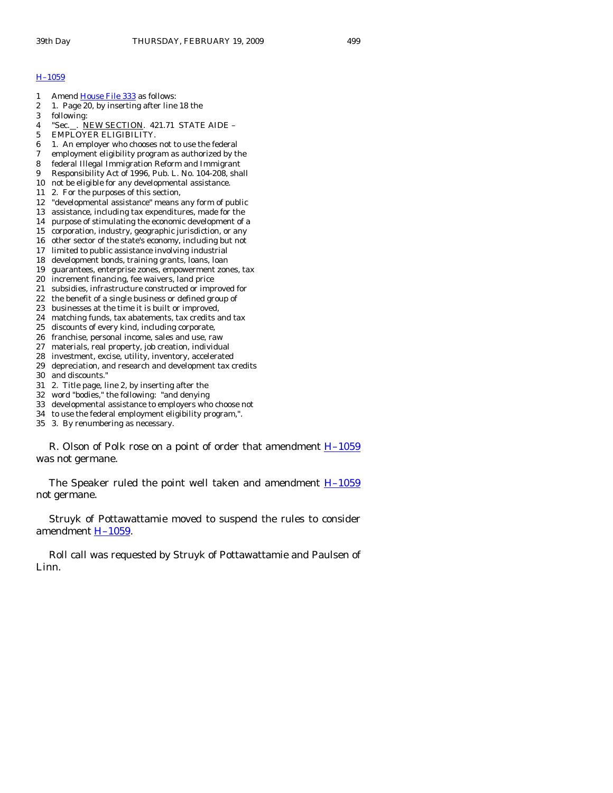#### [H–1059](http://coolice.legis.state.ia.us/Cool-ICE/default.asp?Category=billinfo&Service=Billbook&frame=1&GA=83&hbill=H1059)

- 1 Amend [House File 333](http://coolice.legis.state.ia.us/Cool-ICE/default.asp?Category=billinfo&Service=Billbook&frame=1&GA=83&hbill=HF333) as follows:
- 2 1. Page 20, by inserting after line 18 the
- 3 following:
- 4 "Sec. . NEW SECTION. 421.71 STATE AIDE –
- 5 EMPLOYER ELIGIBILITY.
- 6 1. An employer who chooses not to use the federal
- 7 employment eligibility program as authorized by the
- 8 federal Illegal Immigration Reform and Immigrant
- 9 Responsibility Act of 1996, Pub. L. No. 104-208, shall
- 10 not be eligible for any developmental assistance.
- 11 2. For the purposes of this section,
- 12 "developmental assistance" means any form of public
- 13 assistance, including tax expenditures, made for the
- 14 purpose of stimulating the economic development of a
- 15 corporation, industry, geographic jurisdiction, or any
- 16 other sector of the state's economy, including but not
- 17 limited to public assistance involving industrial 18 development bonds, training grants, loans, loan
- 19 guarantees, enterprise zones, empowerment zones, tax
- 20 increment financing, fee waivers, land price
- 
- 21 subsidies, infrastructure constructed or improved for 22 the benefit of a single business or defined group of
- 23 businesses at the time it is built or improved,
- 24 matching funds, tax abatements, tax credits and tax
- 25 discounts of every kind, including corporate,
- 26 franchise, personal income, sales and use, raw
- 27 materials, real property, job creation, individual
- 28 investment, excise, utility, inventory, accelerated
- 29 depreciation, and research and development tax credits
- 30 and discounts."
- 31 2. Title page, line 2, by inserting after the
- 32 word "bodies," the following: "and denying
- 33 developmental assistance to employers who choose not
- 34 to use the federal employment eligibility program,".

35 3. By renumbering as necessary.

R. Olson of Polk rose on a point of order that amendment  $H-1059$ was not germane.

The Speaker ruled the point well taken and amendment  $H-1059$ not germane.

 Struyk of Pottawattamie moved to suspend the rules to consider amendment [H–1059](http://coolice.legis.state.ia.us/Cool-ICE/default.asp?Category=billinfo&Service=Billbook&frame=1&GA=83&hbill=H1059).

 Roll call was requested by Struyk of Pottawattamie and Paulsen of Linn.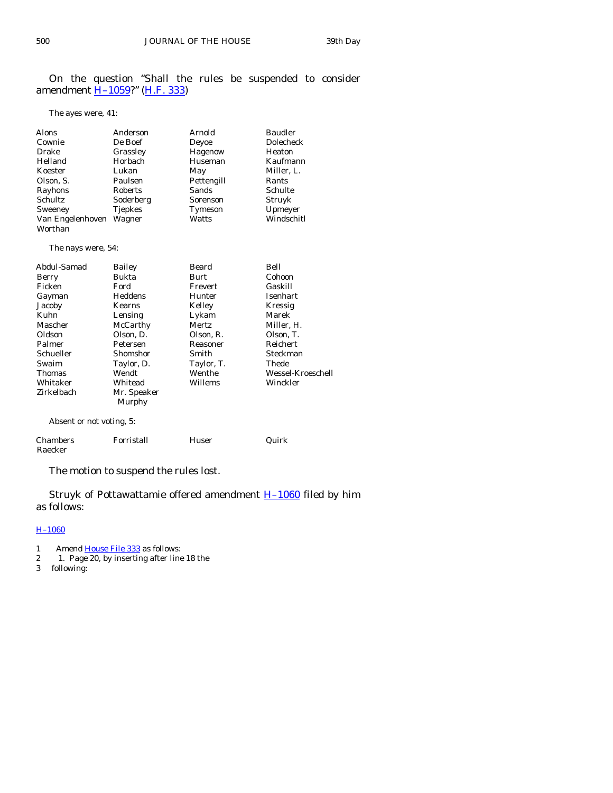On the question "Shall the rules be suspended to consider amendment **H-1059?**" ([H.F. 333\)](http://coolice.legis.state.ia.us/Cool-ICE/default.asp?Category=billinfo&Service=Billbook&frame=1&GA=83&hbill=HF333)

The ayes were, 41:

| Alons            | Anderson       | Arnold     | <b>Baudler</b> |
|------------------|----------------|------------|----------------|
| Cownie           | De Boef        | Deyoe      | Dolecheck      |
| Drake            | Grassley       | Hagenow    | Heaton         |
| Helland          | Horbach        | Huseman    | Kaufmann       |
| Koester          | Lukan          | May        | Miller, L.     |
| Olson, S.        | Paulsen        | Pettengill | Rants          |
| Rayhons          | Roberts        | Sands      | Schulte        |
| Schultz          | Soderberg      | Sorenson   | Struyk         |
| Sweeney          | <b>Tjepkes</b> | Tymeson    | Upmeyer        |
| Van Engelenhoven | Wagner         | Watts      | Windschitl     |
| Worthan          |                |            |                |

The nays were, 54:

| Abdul-Samad              | Bailey                | Beard      | Bell              |
|--------------------------|-----------------------|------------|-------------------|
| Berry                    | Bukta                 | Burt       | Cohoon            |
| Ficken                   | Ford                  | Frevert    | Gaskill           |
| Gayman                   | Heddens               | Hunter     | <b>Isenhart</b>   |
| Jacoby                   | Kearns                | Kelley     | Kressig           |
| Kuhn                     | Lensing               | Lykam      | Marek             |
| Mascher                  | McCarthy              | Mertz      | Miller, H.        |
| Oldson                   | Olson, D.             | Olson, R.  | Olson, T.         |
| Palmer                   | Petersen              | Reasoner   | Reichert          |
| Schueller                | Shomshor              | Smith      | Steckman          |
| Swaim                    | Taylor, D.            | Taylor, T. | Thede             |
| Thomas                   | Wendt                 | Wenthe     | Wessel-Kroeschell |
| Whitaker                 | Whitead               | Willems    | Winckler          |
| Zirkelbach               | Mr. Speaker<br>Murphy |            |                   |
| Absent or not voting, 5: |                       |            |                   |

| Chambers | Forristall | Huser | Quirk |
|----------|------------|-------|-------|
| Raecker  |            |       |       |

The motion to suspend the rules lost.

 Struyk of Pottawattamie offered amendment [H–1060](http://coolice.legis.state.ia.us/Cool-ICE/default.asp?Category=billinfo&Service=Billbook&frame=1&GA=83&hbill=H1060) filed by him as follows:

# [H–1060](http://coolice.legis.state.ia.us/Cool-ICE/default.asp?Category=billinfo&Service=Billbook&frame=1&GA=83&hbill=H1060)

- 1 Amend [House File 333](http://coolice.legis.state.ia.us/Cool-ICE/default.asp?Category=billinfo&Service=Billbook&frame=1&GA=83&hbill=HF333) as follows:
- 2 1. Page 20, by inserting after line 18 the
- following: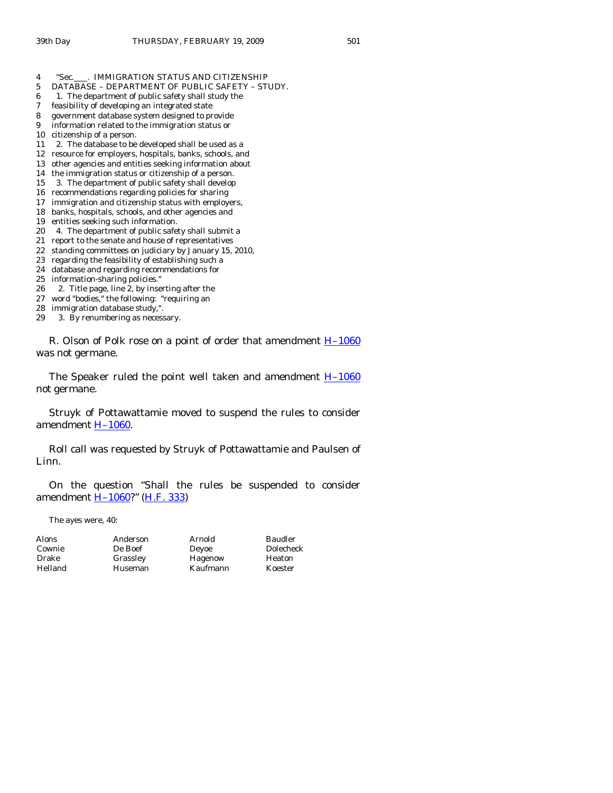- 4 "Sec. . IMMIGRATION STATUS AND CITIZENSHIP
- 5 DATABASE DEPARTMENT OF PUBLIC SAFETY STUDY.
- 6 1. The department of public safety shall study the
- 7 feasibility of developing an integrated state
- 8 government database system designed to provide
- 9 information related to the immigration status or
- 10 citizenship of a person.
- 11 2. The database to be developed shall be used as a
- 12 resource for employers, hospitals, banks, schools, and
- 13 other agencies and entities seeking information about
- 14 the immigration status or citizenship of a person.
- 15 3. The department of public safety shall develop
- 16 recommendations regarding policies for sharing
- 17 immigration and citizenship status with employers, 18 banks, hospitals, schools, and other agencies and
- 19 entities seeking such information.
- 
- 20 4. The department of public safety shall submit a 21 report to the senate and house of representatives
- 22 standing committees on judiciary by January 15, 2010,
- 23 regarding the feasibility of establishing such a
- 24 database and regarding recommendations for
- 25 information-sharing policies."
- 26 2. Title page, line 2, by inserting after the
- 27 word "bodies," the following: "requiring an
- 28 immigration database study,".
- 29 3. By renumbering as necessary.

R. Olson of Polk rose on a point of order that amendment **H**-1060 was not germane.

The Speaker ruled the point well taken and amendment  $H-1060$ not germane.

 Struyk of Pottawattamie moved to suspend the rules to consider amendment [H–1060](http://coolice.legis.state.ia.us/Cool-ICE/default.asp?Category=billinfo&Service=Billbook&frame=1&GA=83&hbill=H1060).

 Roll call was requested by Struyk of Pottawattamie and Paulsen of Linn.

 On the question "Shall the rules be suspended to consider amendment [H–1060](http://coolice.legis.state.ia.us/Cool-ICE/default.asp?Category=billinfo&Service=Billbook&frame=1&GA=83&hbill=H1060)?" ([H.F. 333\)](http://coolice.legis.state.ia.us/Cool-ICE/default.asp?Category=billinfo&Service=Billbook&frame=1&GA=83&hbill=HF333)

The ayes were, 40:

Alons Anderson Arnold Baudler Cownie De Boef Deyoe Dolecheck Drake Grassley Hagenow Heaton Helland Huseman Kaufmann Koester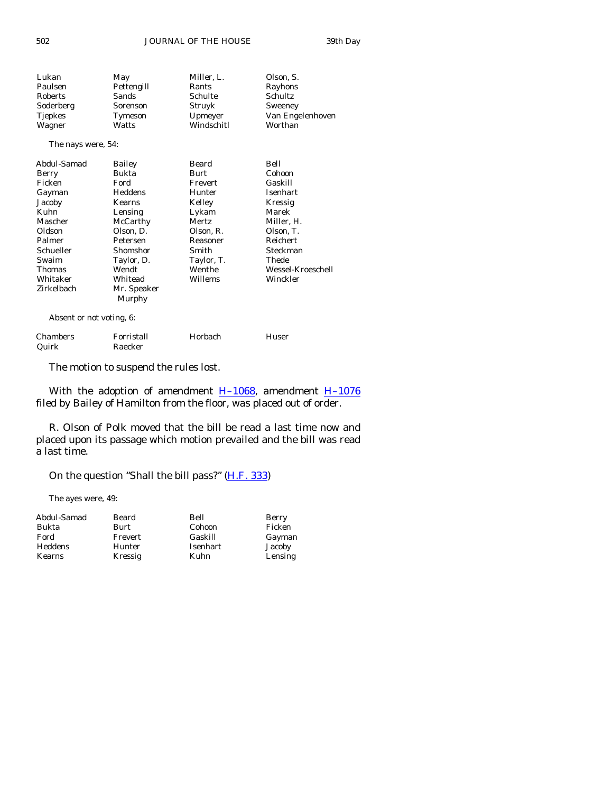| Lukan                    | May            | Miller, L. | Olson, S.         |  |
|--------------------------|----------------|------------|-------------------|--|
| Paulsen                  | Pettengill     | Rants      | Rayhons           |  |
| Roberts                  | Sands          | Schulte    | Schultz           |  |
| Soderberg                | Sorenson       | Struyk     | Sweeney           |  |
| <b>Tjepkes</b>           | Tymeson        | Upmeyer    | Van Engelenhoven  |  |
| Wagner                   | Watts          | Windschitl | Worthan           |  |
| The nays were, 54:       |                |            |                   |  |
| Abdul-Samad              | Bailey         | Beard      | Bell              |  |
| Berry                    | Bukta          | Burt       | Cohoon            |  |
| Ficken                   | Ford           | Frevert    | Gaskill           |  |
| Gayman                   | <b>Heddens</b> | Hunter     | Isenhart          |  |
| Jacoby                   | Kearns         | Kelley     | Kressig           |  |
| Kuhn                     | Lensing        | Lykam      | Marek             |  |
| Mascher                  | McCarthy       | Mertz      | Miller, H.        |  |
| Oldson                   | Olson, D.      | Olson, R.  | Olson, T.         |  |
| Palmer                   | Petersen       | Reasoner   | <b>Reichert</b>   |  |
| Schueller                | Shomshor       | Smith      | Steckman          |  |
| Swaim                    | Taylor, D.     | Taylor, T. | Thede             |  |
| Thomas                   | Wendt          | Wenthe     | Wessel-Kroeschell |  |
| Whitaker                 | Whitead        | Willems    | Winckler          |  |
| Zirkelbach               | Mr. Speaker    |            |                   |  |
|                          | Murphy         |            |                   |  |
| Absent or not voting, 6: |                |            |                   |  |

Chambers Forristall Horbach Huser Raecker

The motion to suspend the rules lost.

With the adoption of amendment  $H-1068$ , amendment  $H-1076$ filed by Bailey of Hamilton from the floor, was placed out of order.

 R. Olson of Polk moved that the bill be read a last time now and placed upon its passage which motion prevailed and the bill was read a last time.

On the question "Shall the bill pass?" [\(H.F. 333](http://coolice.legis.state.ia.us/Cool-ICE/default.asp?Category=billinfo&Service=Billbook&frame=1&GA=83&hbill=HF333))

The ayes were, 49:

| Abdul-Samad | Beard   | Bell     | Berry   |
|-------------|---------|----------|---------|
| Bukta       | Burt    | Cohoon   | Ficken  |
| Ford        | Frevert | Gaskill  | Gayman  |
| Heddens     | Hunter  | Isenhart | Jacoby  |
| Kearns      | Kressig | Kuhn     | Lensing |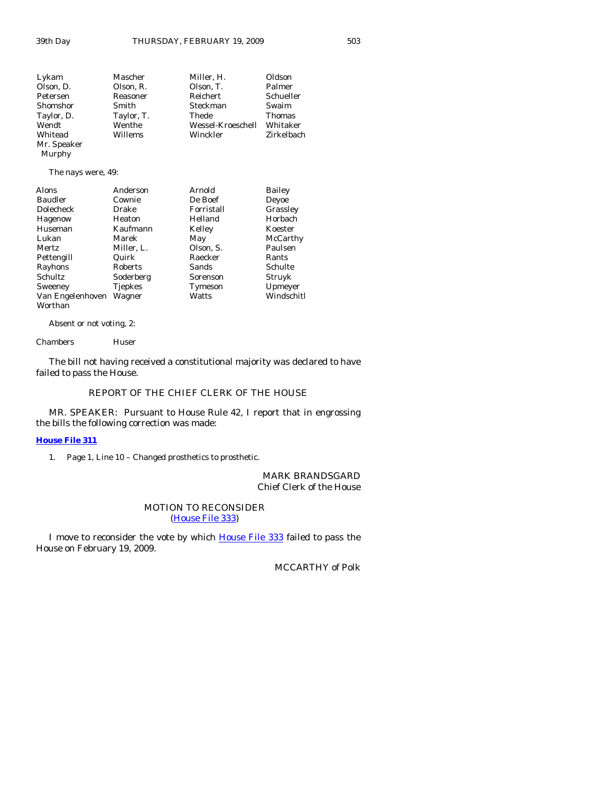| Lykam              | Mascher    | Miller, H.        | Oldson     |
|--------------------|------------|-------------------|------------|
| Olson, D.          | Olson, R.  | Olson, T.         | Palmer     |
| Petersen           | Reasoner   | Reichert          | Schueller  |
| Shomshor           | Smith      | Steckman          | Swaim      |
| Taylor, D.         | Taylor, T. | Thede             | Thomas     |
| Wendt              | Wenthe     | Wessel-Kroeschell | Whitaker   |
| Whitead            | Willems    | Winckler          | Zirkelbach |
| Mr. Speaker        |            |                   |            |
| Murphy             |            |                   |            |
| The nays were, 49: |            |                   |            |

| Alons            | Anderson       | Arnold     | Bailey     |
|------------------|----------------|------------|------------|
| Baudler          | Cownie         | De Boef    | Deyoe      |
| Dolecheck        | Drake          | Forristall | Grassley   |
| Hagenow          | Heaton         | Helland    | Horbach    |
| Huseman          | Kaufmann       | Kelley     | Koester    |
| Lukan            | Marek          | May        | McCarthy   |
| <b>Mertz</b>     | Miller, L.     | Olson, S.  | Paulsen    |
| Pettengill       | Quirk          | Raecker    | Rants      |
| Rayhons          | Roberts        | Sands      | Schulte    |
| Schultz          | Soderberg      | Sorenson   | Struyk     |
| Sweeney          | <b>Tjepkes</b> | Tymeson    | Upmeyer    |
| Van Engelenhoven | Wagner         | Watts      | Windschitl |
| Worthan          |                |            |            |

Absent or not voting, 2:

Chambers Huser

 The bill not having received a constitutional majority was declared to have failed to pass the House.

#### REPORT OF THE CHIEF CLERK OF THE HOUSE

 MR. SPEAKER: Pursuant to House Rule 42, I report that in engrossing the bills the following correction was made:

#### **[House File 311](http://coolice.legis.state.ia.us/Cool-ICE/default.asp?Category=billinfo&Service=Billbook&frame=1&GA=83&hbill=HF311)**

1. Page 1, Line 10 – Changed prosthetics to prosthetic.

MARK BRANDSGARD Chief Clerk of the House

#### MOTION TO RECONSIDER [\(House File 333\)](http://coolice.legis.state.ia.us/Cool-ICE/default.asp?Category=billinfo&Service=Billbook&frame=1&GA=83&hbill=HF333)

 I move to reconsider the vote by which [House File 333](http://coolice.legis.state.ia.us/Cool-ICE/default.asp?Category=billinfo&Service=Billbook&frame=1&GA=83&hbill=HF333) failed to pass the House on February 19, 2009.

MCCARTHY of Polk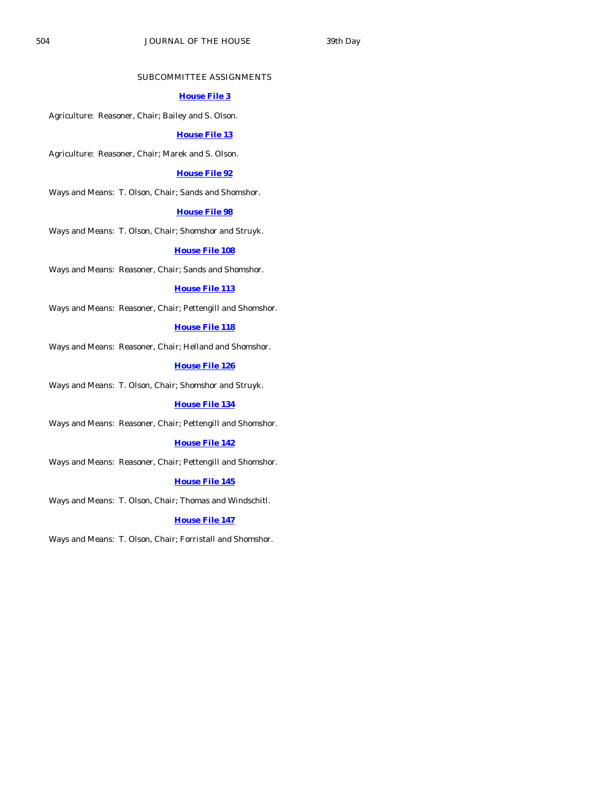#### SUBCOMMITTEE ASSIGNMENTS

#### **[House File 3](http://coolice.legis.state.ia.us/Cool-ICE/default.asp?Category=billinfo&Service=Billbook&frame=1&GA=83&hbill=HF3)**

Agriculture: Reasoner, Chair; Bailey and S. Olson.

#### **[House File 13](http://coolice.legis.state.ia.us/Cool-ICE/default.asp?Category=billinfo&Service=Billbook&frame=1&GA=83&hbill=HF13)**

Agriculture: Reasoner, Chair; Marek and S. Olson.

#### **[House File 92](http://coolice.legis.state.ia.us/Cool-ICE/default.asp?Category=billinfo&Service=Billbook&frame=1&GA=83&hbill=HF92)**

Ways and Means: T. Olson, Chair; Sands and Shomshor.

#### **[House File 98](http://coolice.legis.state.ia.us/Cool-ICE/default.asp?Category=billinfo&Service=Billbook&frame=1&GA=83&hbill=HF98)**

Ways and Means: T. Olson, Chair; Shomshor and Struyk.

#### **[House File 108](http://coolice.legis.state.ia.us/Cool-ICE/default.asp?Category=billinfo&Service=Billbook&frame=1&GA=83&hbill=HF108)**

Ways and Means: Reasoner, Chair; Sands and Shomshor.

#### **[House File 113](http://coolice.legis.state.ia.us/Cool-ICE/default.asp?Category=billinfo&Service=Billbook&frame=1&GA=83&hbill=HF113)**

Ways and Means: Reasoner, Chair; Pettengill and Shomshor.

#### **[House File 118](http://coolice.legis.state.ia.us/Cool-ICE/default.asp?Category=billinfo&Service=Billbook&frame=1&GA=83&hbill=HF118)**

Ways and Means: Reasoner, Chair; Helland and Shomshor.

**[House File 126](http://coolice.legis.state.ia.us/Cool-ICE/default.asp?Category=billinfo&Service=Billbook&frame=1&GA=83&hbill=HF126)**

Ways and Means: T. Olson, Chair; Shomshor and Struyk.

#### **[House File 134](http://coolice.legis.state.ia.us/Cool-ICE/default.asp?Category=billinfo&Service=Billbook&frame=1&GA=83&hbill=HF134)**

Ways and Means: Reasoner, Chair; Pettengill and Shomshor.

#### **[House File 142](http://coolice.legis.state.ia.us/Cool-ICE/default.asp?Category=billinfo&Service=Billbook&frame=1&GA=83&hbill=HF142)**

Ways and Means: Reasoner, Chair; Pettengill and Shomshor.

#### **[House File 145](http://coolice.legis.state.ia.us/Cool-ICE/default.asp?Category=billinfo&Service=Billbook&frame=1&GA=83&hbill=HF145)**

Ways and Means: T. Olson, Chair; Thomas and Windschitl.

#### **[House File 147](http://coolice.legis.state.ia.us/Cool-ICE/default.asp?Category=billinfo&Service=Billbook&frame=1&GA=83&hbill=HF147)**

Ways and Means: T. Olson, Chair; Forristall and Shomshor.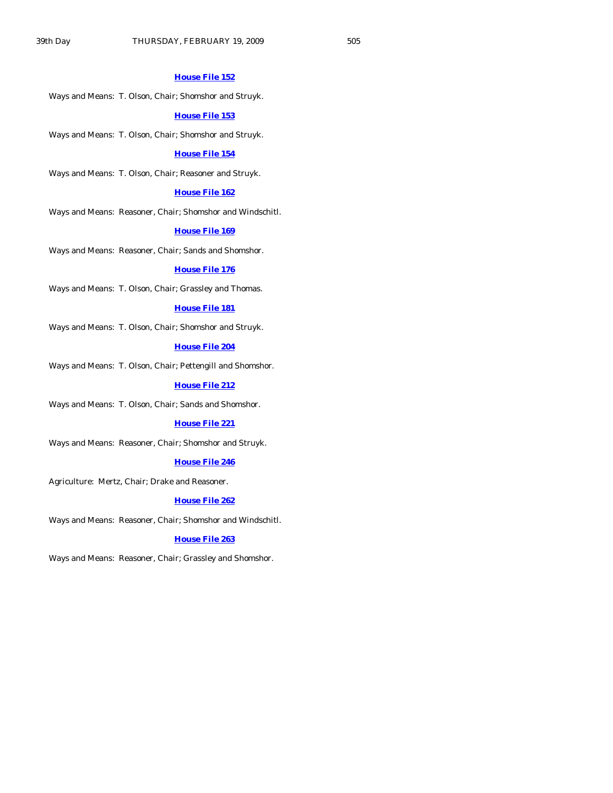#### **[House File 152](http://coolice.legis.state.ia.us/Cool-ICE/default.asp?Category=billinfo&Service=Billbook&frame=1&GA=83&hbill=HF152)**

Ways and Means: T. Olson, Chair; Shomshor and Struyk.

#### **[House File 153](http://coolice.legis.state.ia.us/Cool-ICE/default.asp?Category=billinfo&Service=Billbook&frame=1&GA=83&hbill=HF153)**

Ways and Means: T. Olson, Chair; Shomshor and Struyk.

#### **[House File 154](http://coolice.legis.state.ia.us/Cool-ICE/default.asp?Category=billinfo&Service=Billbook&frame=1&GA=83&hbill=HF154)**

Ways and Means: T. Olson, Chair; Reasoner and Struyk.

#### **[House File 162](http://coolice.legis.state.ia.us/Cool-ICE/default.asp?Category=billinfo&Service=Billbook&frame=1&GA=83&hbill=HF162)**

Ways and Means: Reasoner, Chair; Shomshor and Windschitl.

#### **[House File 169](http://coolice.legis.state.ia.us/Cool-ICE/default.asp?Category=billinfo&Service=Billbook&frame=1&GA=83&hbill=HF169)**

Ways and Means: Reasoner, Chair; Sands and Shomshor.

#### **[House File 176](http://coolice.legis.state.ia.us/Cool-ICE/default.asp?Category=billinfo&Service=Billbook&frame=1&GA=83&hbill=HF176)**

Ways and Means: T. Olson, Chair; Grassley and Thomas.

#### **[House File 181](http://coolice.legis.state.ia.us/Cool-ICE/default.asp?Category=billinfo&Service=Billbook&frame=1&GA=83&hbill=HF181)**

Ways and Means: T. Olson, Chair; Shomshor and Struyk.

# **[House File 204](http://coolice.legis.state.ia.us/Cool-ICE/default.asp?Category=billinfo&Service=Billbook&frame=1&GA=83&hbill=HF204)**

Ways and Means: T. Olson, Chair; Pettengill and Shomshor.

#### **[House File 212](http://coolice.legis.state.ia.us/Cool-ICE/default.asp?Category=billinfo&Service=Billbook&frame=1&GA=83&hbill=HF212)**

Ways and Means: T. Olson, Chair; Sands and Shomshor.

#### **[House File 221](http://coolice.legis.state.ia.us/Cool-ICE/default.asp?Category=billinfo&Service=Billbook&frame=1&GA=83&hbill=HF221)**

Ways and Means: Reasoner, Chair; Shomshor and Struyk.

#### **[House File 246](http://coolice.legis.state.ia.us/Cool-ICE/default.asp?Category=billinfo&Service=Billbook&frame=1&GA=83&hbill=HF246)**

Agriculture: Mertz, Chair; Drake and Reasoner.

#### **[House File 262](http://coolice.legis.state.ia.us/Cool-ICE/default.asp?Category=billinfo&Service=Billbook&frame=1&GA=83&hbill=HF262)**

Ways and Means: Reasoner, Chair; Shomshor and Windschitl.

#### **[House File 263](http://coolice.legis.state.ia.us/Cool-ICE/default.asp?Category=billinfo&Service=Billbook&frame=1&GA=83&hbill=HF263)**

Ways and Means: Reasoner, Chair; Grassley and Shomshor.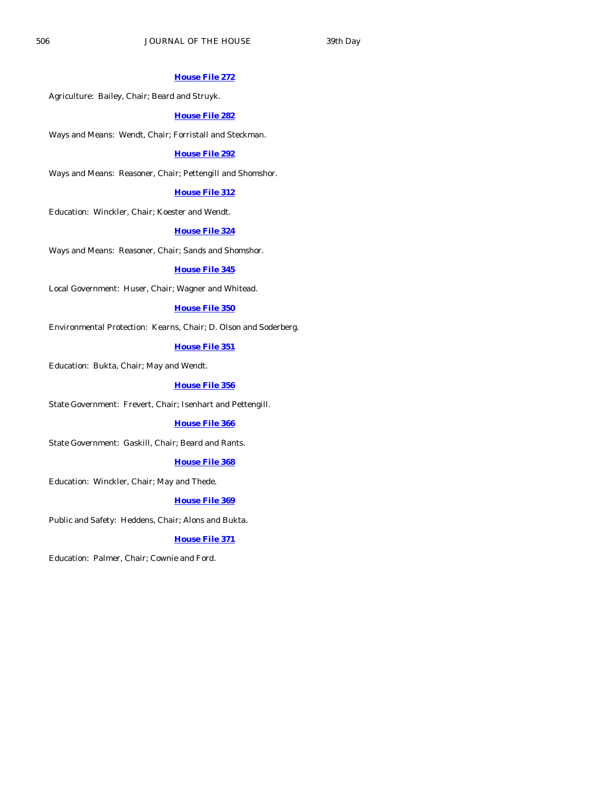#### **[House File 272](http://coolice.legis.state.ia.us/Cool-ICE/default.asp?Category=billinfo&Service=Billbook&frame=1&GA=83&hbill=HF272)**

Agriculture: Bailey, Chair; Beard and Struyk.

#### **[House File 282](http://coolice.legis.state.ia.us/Cool-ICE/default.asp?Category=billinfo&Service=Billbook&frame=1&GA=83&hbill=HF282)**

Ways and Means: Wendt, Chair; Forristall and Steckman.

### **[House File 292](http://coolice.legis.state.ia.us/Cool-ICE/default.asp?Category=billinfo&Service=Billbook&frame=1&GA=83&hbill=HF292)**

Ways and Means: Reasoner, Chair; Pettengill and Shomshor.

#### **[House File 312](http://coolice.legis.state.ia.us/Cool-ICE/default.asp?Category=billinfo&Service=Billbook&frame=1&GA=83&hbill=HF312)**

Education: Winckler, Chair; Koester and Wendt.

#### **[House File 324](http://coolice.legis.state.ia.us/Cool-ICE/default.asp?Category=billinfo&Service=Billbook&frame=1&GA=83&hbill=HF324)**

Ways and Means: Reasoner, Chair; Sands and Shomshor.

#### **[House File 345](http://coolice.legis.state.ia.us/Cool-ICE/default.asp?Category=billinfo&Service=Billbook&frame=1&GA=83&hbill=HF345)**

Local Government: Huser, Chair; Wagner and Whitead.

#### **[House File 350](http://coolice.legis.state.ia.us/Cool-ICE/default.asp?Category=billinfo&Service=Billbook&frame=1&GA=83&hbill=HF350)**

Environmental Protection: Kearns, Chair; D. Olson and Soderberg.

# **[House File 351](http://coolice.legis.state.ia.us/Cool-ICE/default.asp?Category=billinfo&Service=Billbook&frame=1&GA=83&hbill=HF351)**

Education: Bukta, Chair; May and Wendt.

#### **[House File 356](http://coolice.legis.state.ia.us/Cool-ICE/default.asp?Category=billinfo&Service=Billbook&frame=1&GA=83&hbill=HF356)**

State Government: Frevert, Chair; Isenhart and Pettengill.

#### **[House File 366](http://coolice.legis.state.ia.us/Cool-ICE/default.asp?Category=billinfo&Service=Billbook&frame=1&GA=83&hbill=HF366)**

State Government: Gaskill, Chair; Beard and Rants.

#### **[House File 368](http://coolice.legis.state.ia.us/Cool-ICE/default.asp?Category=billinfo&Service=Billbook&frame=1&GA=83&hbill=HF368)**

Education: Winckler, Chair; May and Thede.

#### **[House File 369](http://coolice.legis.state.ia.us/Cool-ICE/default.asp?Category=billinfo&Service=Billbook&frame=1&GA=83&hbill=HF369)**

Public and Safety: Heddens, Chair; Alons and Bukta.

#### **[House File 371](http://coolice.legis.state.ia.us/Cool-ICE/default.asp?Category=billinfo&Service=Billbook&frame=1&GA=83&hbill=HF371)**

Education: Palmer, Chair; Cownie and Ford.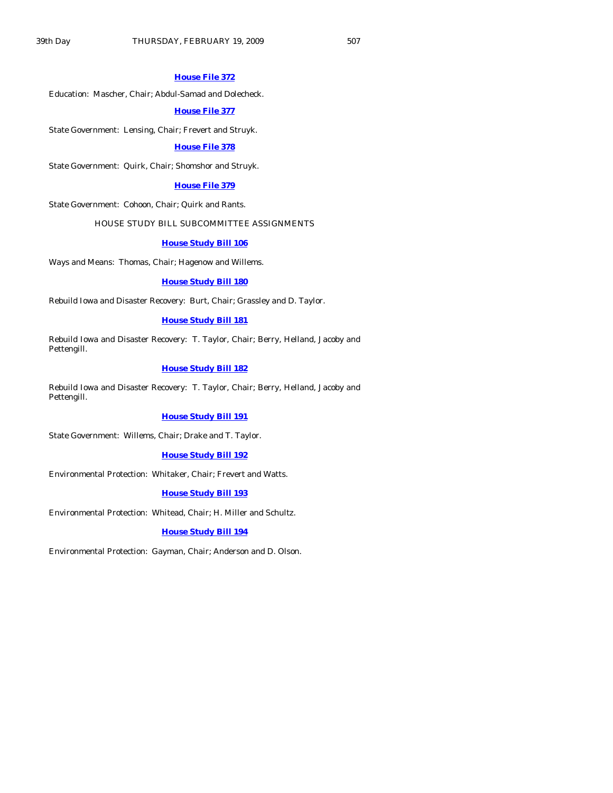#### **[House File 372](http://coolice.legis.state.ia.us/Cool-ICE/default.asp?Category=billinfo&Service=Billbook&frame=1&GA=83&hbill=HF372)**

Education: Mascher, Chair; Abdul-Samad and Dolecheck.

#### **[House File 377](http://coolice.legis.state.ia.us/Cool-ICE/default.asp?Category=billinfo&Service=Billbook&frame=1&GA=83&hbill=HF377)**

State Government: Lensing, Chair; Frevert and Struyk.

#### **[House File 378](http://coolice.legis.state.ia.us/Cool-ICE/default.asp?Category=billinfo&Service=Billbook&frame=1&GA=83&hbill=HF378)**

State Government: Quirk, Chair; Shomshor and Struyk.

#### **[House File 379](http://coolice.legis.state.ia.us/Cool-ICE/default.asp?Category=billinfo&Service=Billbook&frame=1&GA=83&hbill=HF379)**

State Government: Cohoon, Chair; Quirk and Rants.

#### HOUSE STUDY BILL SUBCOMMITTEE ASSIGNMENTS

#### **[House Study Bill 106](http://coolice.legis.state.ia.us/Cool-ICE/default.asp?Category=billinfo&Service=Billbook&frame=1&GA=83&hbill=HSB106)**

Ways and Means: Thomas, Chair; Hagenow and Willems.

#### **[House Study Bill 180](http://coolice.legis.state.ia.us/Cool-ICE/default.asp?Category=billinfo&Service=Billbook&frame=1&GA=83&hbill=HSB180)**

Rebuild Iowa and Disaster Recovery: Burt, Chair; Grassley and D. Taylor.

#### **[House Study Bill 181](http://coolice.legis.state.ia.us/Cool-ICE/default.asp?Category=billinfo&Service=Billbook&frame=1&GA=83&hbill=HSB181)**

Rebuild Iowa and Disaster Recovery: T. Taylor, Chair; Berry, Helland, Jacoby and Pettengill.

#### **[House Study Bill 182](http://coolice.legis.state.ia.us/Cool-ICE/default.asp?Category=billinfo&Service=Billbook&frame=1&GA=83&hbill=HSB182)**

Rebuild Iowa and Disaster Recovery: T. Taylor, Chair; Berry, Helland, Jacoby and Pettengill.

#### **[House Study Bill 191](http://coolice.legis.state.ia.us/Cool-ICE/default.asp?Category=billinfo&Service=Billbook&frame=1&GA=83&hbill=HSB191)**

State Government: Willems, Chair; Drake and T. Taylor.

#### **[House Study Bill 192](http://coolice.legis.state.ia.us/Cool-ICE/default.asp?Category=billinfo&Service=Billbook&frame=1&GA=83&hbill=HSB192)**

Environmental Protection: Whitaker, Chair; Frevert and Watts.

#### **[House Study Bill 193](http://coolice.legis.state.ia.us/Cool-ICE/default.asp?Category=billinfo&Service=Billbook&frame=1&GA=83&hbill=HSB193)**

Environmental Protection: Whitead, Chair; H. Miller and Schultz.

#### **[House Study Bill 194](http://coolice.legis.state.ia.us/Cool-ICE/default.asp?Category=billinfo&Service=Billbook&frame=1&GA=83&hbill=HSB194)**

Environmental Protection: Gayman, Chair; Anderson and D. Olson.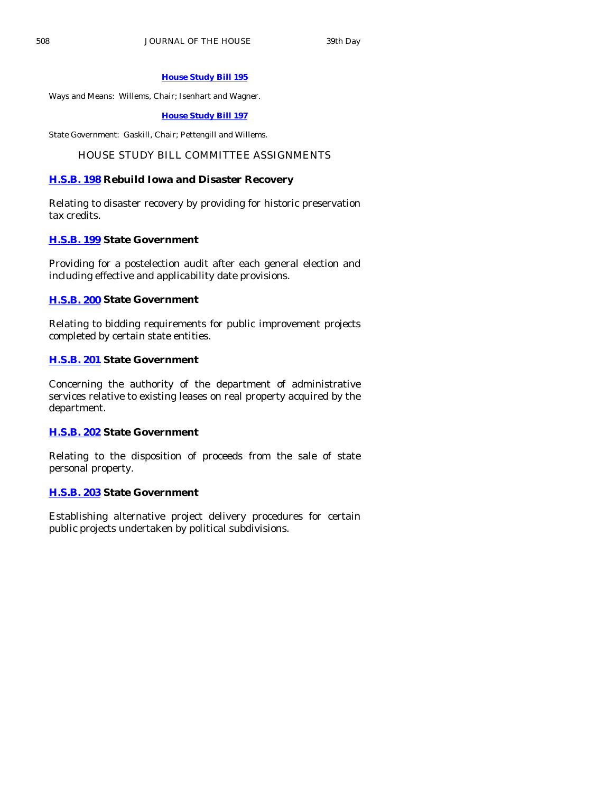# **[House Study Bill 195](http://coolice.legis.state.ia.us/Cool-ICE/default.asp?Category=billinfo&Service=Billbook&frame=1&GA=83&hbill=HSB195)**

Ways and Means: Willems, Chair; Isenhart and Wagner.

**[House Study Bill 197](http://coolice.legis.state.ia.us/Cool-ICE/default.asp?Category=billinfo&Service=Billbook&frame=1&GA=83&hbill=HSB197)**

State Government: Gaskill, Chair; Pettengill and Willems.

# HOUSE STUDY BILL COMMITTEE ASSIGNMENTS

# **[H.S.B. 198](http://coolice.legis.state.ia.us/Cool-ICE/default.asp?Category=billinfo&Service=Billbook&frame=1&GA=83&hbill=HSB198) Rebuild Iowa and Disaster Recovery**

Relating to disaster recovery by providing for historic preservation tax credits.

# **[H.S.B. 199](http://coolice.legis.state.ia.us/Cool-ICE/default.asp?Category=billinfo&Service=Billbook&frame=1&GA=83&hbill=HSB199) State Government**

Providing for a postelection audit after each general election and including effective and applicability date provisions.

# **[H.S.B. 200](http://coolice.legis.state.ia.us/Cool-ICE/default.asp?Category=billinfo&Service=Billbook&frame=1&GA=83&hbill=HSB200) State Government**

Relating to bidding requirements for public improvement projects completed by certain state entities.

# **[H.S.B. 201](http://coolice.legis.state.ia.us/Cool-ICE/default.asp?Category=billinfo&Service=Billbook&frame=1&GA=83&hbill=HSB201) State Government**

Concerning the authority of the department of administrative services relative to existing leases on real property acquired by the department.

# **[H.S.B. 202](http://coolice.legis.state.ia.us/Cool-ICE/default.asp?Category=billinfo&Service=Billbook&frame=1&GA=83&hbill=HSB202) State Government**

Relating to the disposition of proceeds from the sale of state personal property.

# **[H.S.B. 203](http://coolice.legis.state.ia.us/Cool-ICE/default.asp?Category=billinfo&Service=Billbook&frame=1&GA=83&hbill=HSB203) State Government**

Establishing alternative project delivery procedures for certain public projects undertaken by political subdivisions.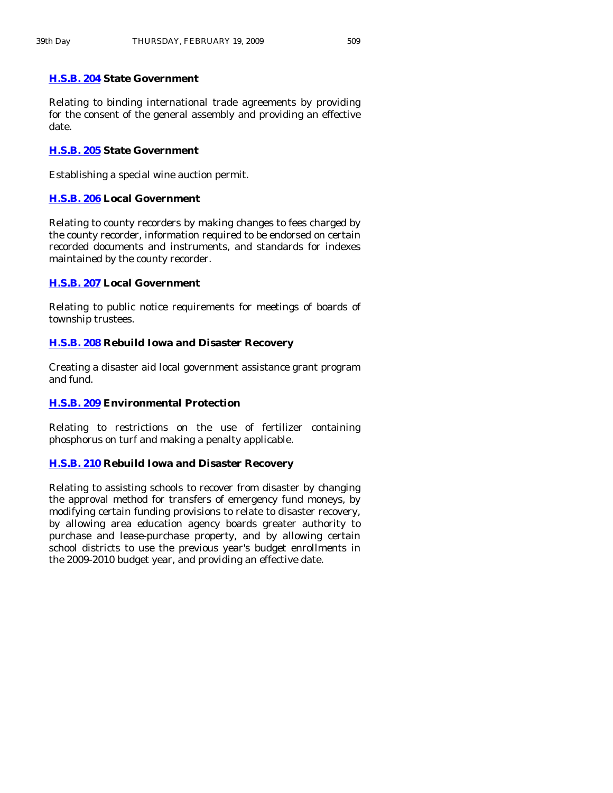# **[H.S.B. 204](http://coolice.legis.state.ia.us/Cool-ICE/default.asp?Category=billinfo&Service=Billbook&frame=1&GA=83&hbill=HSB204) State Government**

Relating to binding international trade agreements by providing for the consent of the general assembly and providing an effective date.

# **[H.S.B. 205](http://coolice.legis.state.ia.us/Cool-ICE/default.asp?Category=billinfo&Service=Billbook&frame=1&GA=83&hbill=HSB205) State Government**

Establishing a special wine auction permit.

# **[H.S.B. 206](http://coolice.legis.state.ia.us/Cool-ICE/default.asp?Category=billinfo&Service=Billbook&frame=1&GA=83&hbill=HSB206) Local Government**

Relating to county recorders by making changes to fees charged by the county recorder, information required to be endorsed on certain recorded documents and instruments, and standards for indexes maintained by the county recorder.

# **[H.S.B. 207](http://coolice.legis.state.ia.us/Cool-ICE/default.asp?Category=billinfo&Service=Billbook&frame=1&GA=83&hbill=HSB207) Local Government**

Relating to public notice requirements for meetings of boards of township trustees.

# **[H.S.B. 208](http://coolice.legis.state.ia.us/Cool-ICE/default.asp?Category=billinfo&Service=Billbook&frame=1&GA=83&hbill=HSB208) Rebuild Iowa and Disaster Recovery**

Creating a disaster aid local government assistance grant program and fund.

# **[H.S.B. 209](http://coolice.legis.state.ia.us/Cool-ICE/default.asp?Category=billinfo&Service=Billbook&frame=1&GA=83&hbill=HSB209) Environmental Protection**

Relating to restrictions on the use of fertilizer containing phosphorus on turf and making a penalty applicable.

# **[H.S.B. 210](http://coolice.legis.state.ia.us/Cool-ICE/default.asp?Category=billinfo&Service=Billbook&frame=1&GA=83&hbill=HSB210) Rebuild Iowa and Disaster Recovery**

Relating to assisting schools to recover from disaster by changing the approval method for transfers of emergency fund moneys, by modifying certain funding provisions to relate to disaster recovery, by allowing area education agency boards greater authority to purchase and lease-purchase property, and by allowing certain school districts to use the previous year's budget enrollments in the 2009-2010 budget year, and providing an effective date.